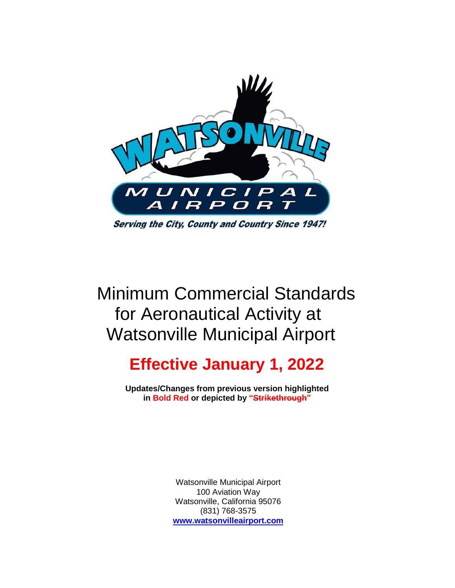

# Minimum Commercial Standards for Aeronautical Activity at Watsonville Municipal Airport

# **Effective January 1, 2022**

**Updates/Changes from previous version highlighted in Bold Red or depicted by "Strikethrough"**

> Watsonville Municipal Airport 100 Aviation Way Watsonville, California 95076 (831) 768-3575 **[www.watsonvilleairport.com](http://www.watsonvilleairport.com/)**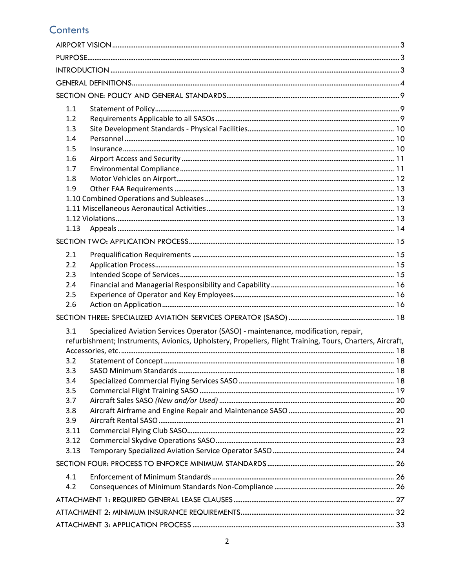# **Contents**

| 1.1  |                                                                                                           |  |  |  |  |  |
|------|-----------------------------------------------------------------------------------------------------------|--|--|--|--|--|
| 1.2  |                                                                                                           |  |  |  |  |  |
| 1.3  |                                                                                                           |  |  |  |  |  |
| 1.4  |                                                                                                           |  |  |  |  |  |
| 1.5  |                                                                                                           |  |  |  |  |  |
| 1.6  |                                                                                                           |  |  |  |  |  |
| 1.7  |                                                                                                           |  |  |  |  |  |
| 1.8  |                                                                                                           |  |  |  |  |  |
| 1.9  |                                                                                                           |  |  |  |  |  |
|      |                                                                                                           |  |  |  |  |  |
|      |                                                                                                           |  |  |  |  |  |
|      |                                                                                                           |  |  |  |  |  |
| 1.13 |                                                                                                           |  |  |  |  |  |
|      |                                                                                                           |  |  |  |  |  |
| 2.1  |                                                                                                           |  |  |  |  |  |
| 2.2  |                                                                                                           |  |  |  |  |  |
| 2.3  |                                                                                                           |  |  |  |  |  |
| 2.4  |                                                                                                           |  |  |  |  |  |
| 2.5  |                                                                                                           |  |  |  |  |  |
| 2.6  |                                                                                                           |  |  |  |  |  |
|      |                                                                                                           |  |  |  |  |  |
| 3.1  | Specialized Aviation Services Operator (SASO) - maintenance, modification, repair,                        |  |  |  |  |  |
|      | refurbishment; Instruments, Avionics, Upholstery, Propellers, Flight Training, Tours, Charters, Aircraft, |  |  |  |  |  |
|      |                                                                                                           |  |  |  |  |  |
| 3.2  |                                                                                                           |  |  |  |  |  |
| 3.3  |                                                                                                           |  |  |  |  |  |
| 3.4  |                                                                                                           |  |  |  |  |  |
| 3.5  |                                                                                                           |  |  |  |  |  |
| 3.7  |                                                                                                           |  |  |  |  |  |
| 3.8  |                                                                                                           |  |  |  |  |  |
| 3.9  |                                                                                                           |  |  |  |  |  |
| 3.11 |                                                                                                           |  |  |  |  |  |
| 3.12 |                                                                                                           |  |  |  |  |  |
| 3.13 |                                                                                                           |  |  |  |  |  |
|      |                                                                                                           |  |  |  |  |  |
| 4.1  |                                                                                                           |  |  |  |  |  |
| 4.2  |                                                                                                           |  |  |  |  |  |
|      |                                                                                                           |  |  |  |  |  |
|      |                                                                                                           |  |  |  |  |  |
|      |                                                                                                           |  |  |  |  |  |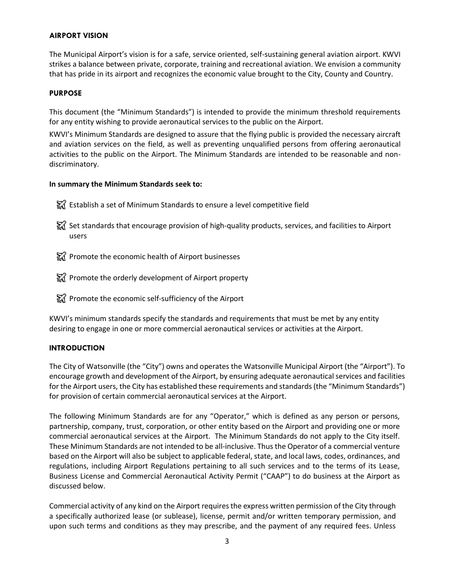# <span id="page-2-0"></span>**AIRPORT VISION**

The Municipal Airport's vision is for a safe, service oriented, self-sustaining general aviation airport. KWVI strikes a balance between private, corporate, training and recreational aviation. We envision a community that has pride in its airport and recognizes the economic value brought to the City, County and Country.

# <span id="page-2-1"></span>**PURPOSE**

This document (the "Minimum Standards") is intended to provide the minimum threshold requirements for any entity wishing to provide aeronautical services to the public on the Airport.

KWVI's Minimum Standards are designed to assure that the flying public is provided the necessary aircraft and aviation services on the field, as well as preventing unqualified persons from offering aeronautical activities to the public on the Airport. The Minimum Standards are intended to be reasonable and nondiscriminatory.

# **In summary the Minimum Standards seek to:**

- $\frac{1}{20}$  Establish a set of Minimum Standards to ensure a level competitive field
- ₹ Set standards that encourage provision of high-quality products, services, and facilities to Airport users
- $\frac{1}{20}$  Promote the economic health of Airport businesses
- ₹₹ Promote the orderly development of Airport property
- $\frac{1}{24}$  Promote the economic self-sufficiency of the Airport

KWVI's minimum standards specify the standards and requirements that must be met by any entity desiring to engage in one or more commercial aeronautical services or activities at the Airport.

# <span id="page-2-2"></span>**INTRODUCTION**

The City of Watsonville (the "City") owns and operates the Watsonville Municipal Airport (the "Airport"). To encourage growth and development of the Airport, by ensuring adequate aeronautical services and facilities for the Airport users, the City has established these requirements and standards (the "Minimum Standards") for provision of certain commercial aeronautical services at the Airport.

The following Minimum Standards are for any "Operator," which is defined as any person or persons, partnership, company, trust, corporation, or other entity based on the Airport and providing one or more commercial aeronautical services at the Airport. The Minimum Standards do not apply to the City itself. These Minimum Standards are not intended to be all-inclusive. Thus the Operator of a commercial venture based on the Airport will also be subject to applicable federal, state, and local laws, codes, ordinances, and regulations, including Airport Regulations pertaining to all such services and to the terms of its Lease, Business License and Commercial Aeronautical Activity Permit ("CAAP") to do business at the Airport as discussed below.

Commercial activity of any kind on the Airport requires the express written permission of the City through a specifically authorized lease (or sublease), license, permit and/or written temporary permission, and upon such terms and conditions as they may prescribe, and the payment of any required fees. Unless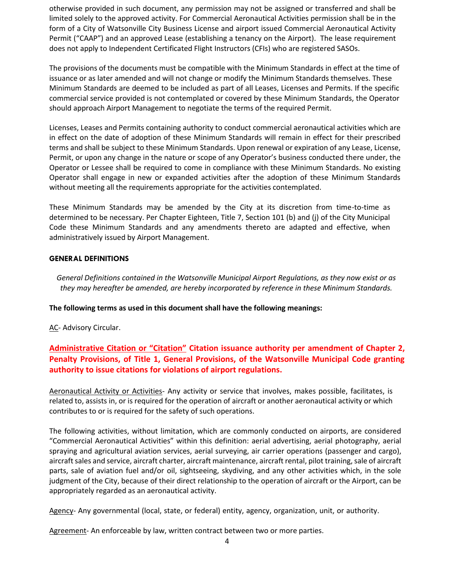otherwise provided in such document, any permission may not be assigned or transferred and shall be limited solely to the approved activity. For Commercial Aeronautical Activities permission shall be in the form of a City of Watsonville City Business License and airport issued Commercial Aeronautical Activity Permit ("CAAP") and an approved Lease (establishing a tenancy on the Airport). The lease requirement does not apply to Independent Certificated Flight Instructors (CFIs) who are registered SASOs.

The provisions of the documents must be compatible with the Minimum Standards in effect at the time of issuance or as later amended and will not change or modify the Minimum Standards themselves. These Minimum Standards are deemed to be included as part of all Leases, Licenses and Permits. If the specific commercial service provided is not contemplated or covered by these Minimum Standards, the Operator should approach Airport Management to negotiate the terms of the required Permit.

Licenses, Leases and Permits containing authority to conduct commercial aeronautical activities which are in effect on the date of adoption of these Minimum Standards will remain in effect for their prescribed terms and shall be subject to these Minimum Standards. Upon renewal or expiration of any Lease, License, Permit, or upon any change in the nature or scope of any Operator's business conducted there under, the Operator or Lessee shall be required to come in compliance with these Minimum Standards. No existing Operator shall engage in new or expanded activities after the adoption of these Minimum Standards without meeting all the requirements appropriate for the activities contemplated.

These Minimum Standards may be amended by the City at its discretion from time-to-time as determined to be necessary. Per Chapter Eighteen, Title 7, Section 101 (b) and (j) of the City Municipal Code these Minimum Standards and any amendments thereto are adapted and effective, when administratively issued by Airport Management.

#### <span id="page-3-0"></span>**GENERAL DEFINITIONS**

*General Definitions contained in the Watsonville Municipal Airport Regulations, as they now exist or as they may hereafter be amended, are hereby incorporated by reference in these Minimum Standards.*

**The following terms as used in this document shall have the following meanings:**

AC- Advisory Circular.

# **Administrative Citation or "Citation" Citation issuance authority per amendment of Chapter 2, Penalty Provisions, of Title 1, General Provisions, of the Watsonville Municipal Code granting authority to issue citations for violations of airport regulations.**

Aeronautical Activity or Activities- Any activity or service that involves, makes possible, facilitates, is related to, assists in, or is required for the operation of aircraft or another aeronautical activity or which contributes to or is required for the safety of such operations.

The following activities, without limitation, which are commonly conducted on airports, are considered "Commercial Aeronautical Activities" within this definition: aerial advertising, aerial photography, aerial spraying and agricultural aviation services, aerial surveying, air carrier operations (passenger and cargo), aircraft sales and service, aircraft charter, aircraft maintenance, aircraft rental, pilot training, sale of aircraft parts, sale of aviation fuel and/or oil, sightseeing, skydiving, and any other activities which, in the sole judgment of the City, because of their direct relationship to the operation of aircraft or the Airport, can be appropriately regarded as an aeronautical activity.

Agency- Any governmental (local, state, or federal) entity, agency, organization, unit, or authority.

Agreement- An enforceable by law, written contract between two or more parties.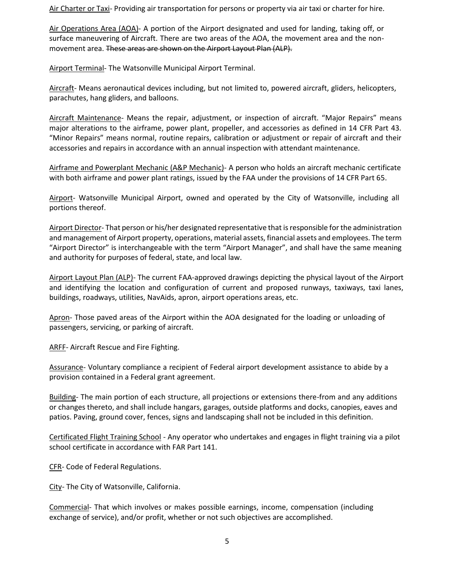Air Charter or Taxi- Providing air transportation for persons or property via air taxi or charter for hire.

Air Operations Area (AOA)- A portion of the Airport designated and used for landing, taking off, or surface maneuvering of Aircraft. There are two areas of the AOA, the movement area and the nonmovement area. These areas are shown on the Airport Layout Plan (ALP).

Airport Terminal- The Watsonville Municipal Airport Terminal.

Aircraft- Means aeronautical devices including, but not limited to, powered aircraft, gliders, helicopters, parachutes, hang gliders, and balloons.

Aircraft Maintenance- Means the repair, adjustment, or inspection of aircraft. "Major Repairs" means major alterations to the airframe, power plant, propeller, and accessories as defined in 14 CFR Part 43. "Minor Repairs" means normal, routine repairs, calibration or adjustment or repair of aircraft and their accessories and repairs in accordance with an annual inspection with attendant maintenance.

Airframe and Powerplant Mechanic (A&P Mechanic)- A person who holds an aircraft mechanic certificate with both airframe and power plant ratings, issued by the FAA under the provisions of 14 CFR Part 65.

Airport- Watsonville Municipal Airport, owned and operated by the City of Watsonville, including all portions thereof.

Airport Director- That person or his/her designated representative that is responsible for the administration and management of Airport property, operations, material assets, financial assets and employees. The term "Airport Director" is interchangeable with the term "Airport Manager", and shall have the same meaning and authority for purposes of federal, state, and local law.

Airport Layout Plan (ALP)- The current FAA-approved drawings depicting the physical layout of the Airport and identifying the location and configuration of current and proposed runways, taxiways, taxi lanes, buildings, roadways, utilities, NavAids, apron, airport operations areas, etc.

Apron- Those paved areas of the Airport within the AOA designated for the loading or unloading of passengers, servicing, or parking of aircraft.

ARFF- Aircraft Rescue and Fire Fighting.

Assurance- Voluntary compliance a recipient of Federal airport development assistance to abide by a provision contained in a Federal grant agreement.

Building- The main portion of each structure, all projections or extensions there-from and any additions or changes thereto, and shall include hangars, garages, outside platforms and docks, canopies, eaves and patios. Paving, ground cover, fences, signs and landscaping shall not be included in this definition.

Certificated Flight Training School - Any operator who undertakes and engages in flight training via a pilot school certificate in accordance with FAR Part 141.

CFR- Code of Federal Regulations.

City- The City of Watsonville, California.

Commercial- That which involves or makes possible earnings, income, compensation (including exchange of service), and/or profit, whether or not such objectives are accomplished.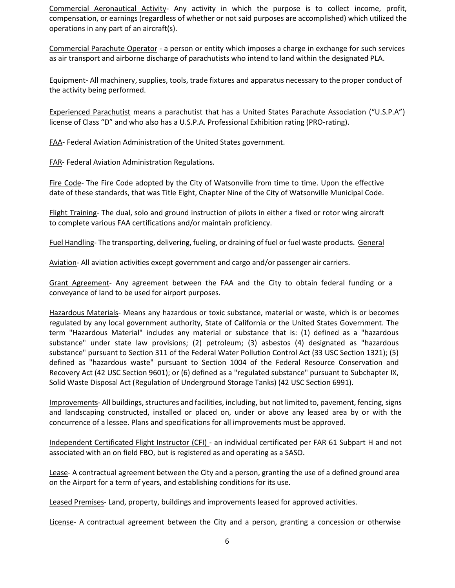Commercial Aeronautical Activity- Any activity in which the purpose is to collect income, profit, compensation, or earnings (regardless of whether or not said purposes are accomplished) which utilized the operations in any part of an aircraft(s).

Commercial Parachute Operator - a person or entity which imposes a charge in exchange for such services as air transport and airborne discharge of parachutists who intend to land within the designated PLA.

Equipment- All machinery, supplies, tools, trade fixtures and apparatus necessary to the proper conduct of the activity being performed.

Experienced Parachutist means a parachutist that has a United States Parachute Association ("U.S.P.A") license of Class "D" and who also has a U.S.P.A. Professional Exhibition rating (PRO-rating).

FAA- Federal Aviation Administration of the United States government.

FAR- Federal Aviation Administration Regulations.

Fire Code- The Fire Code adopted by the City of Watsonville from time to time. Upon the effective date of these standards, that was Title Eight, Chapter Nine of the City of Watsonville Municipal Code.

Flight Training- The dual, solo and ground instruction of pilots in either a fixed or rotor wing aircraft to complete various FAA certifications and/or maintain proficiency.

Fuel Handling- The transporting, delivering, fueling, or draining of fuel or fuel waste products. General

Aviation- All aviation activities except government and cargo and/or passenger air carriers.

Grant Agreement- Any agreement between the FAA and the City to obtain federal funding or a conveyance of land to be used for airport purposes.

Hazardous Materials- Means any hazardous or toxic substance, material or waste, which is or becomes regulated by any local government authority, State of California or the United States Government. The term "Hazardous Material" includes any material or substance that is: (1) defined as a "hazardous substance" under state law provisions; (2) petroleum; (3) asbestos (4) designated as "hazardous substance" pursuant to Section 311 of the Federal Water Pollution Control Act (33 USC Section 1321); (5) defined as "hazardous waste" pursuant to Section 1004 of the Federal Resource Conservation and Recovery Act (42 USC Section 9601); or (6) defined as a "regulated substance" pursuant to Subchapter IX, Solid Waste Disposal Act (Regulation of Underground Storage Tanks) (42 USC Section 6991).

Improvements- All buildings, structures and facilities, including, but not limited to, pavement, fencing, signs and landscaping constructed, installed or placed on, under or above any leased area by or with the concurrence of a lessee. Plans and specifications for all improvements must be approved.

Independent Certificated Flight Instructor (CFI) - an individual certificated per FAR 61 Subpart H and not associated with an on field FBO, but is registered as and operating as a SASO.

Lease- A contractual agreement between the City and a person, granting the use of a defined ground area on the Airport for a term of years, and establishing conditions for its use.

Leased Premises- Land, property, buildings and improvements leased for approved activities.

License- A contractual agreement between the City and a person, granting a concession or otherwise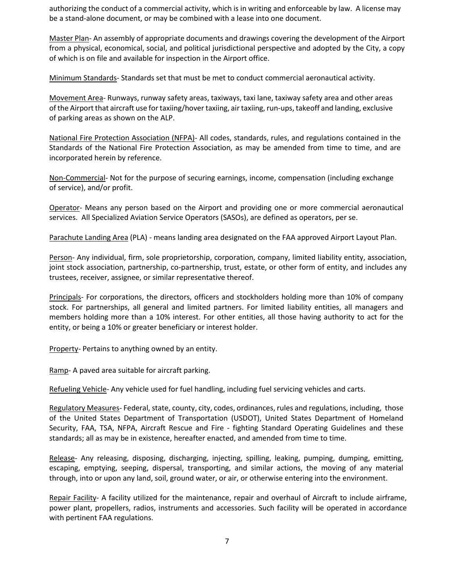authorizing the conduct of a commercial activity, which is in writing and enforceable by law. A license may be a stand-alone document, or may be combined with a lease into one document.

Master Plan- An assembly of appropriate documents and drawings covering the development of the Airport from a physical, economical, social, and political jurisdictional perspective and adopted by the City, a copy of which is on file and available for inspection in the Airport office.

Minimum Standards- Standards set that must be met to conduct commercial aeronautical activity.

Movement Area- Runways, runway safety areas, taxiways, taxi lane, taxiway safety area and other areas of the Airport that aircraft use for taxiing/hover taxiing, air taxiing, run-ups, takeoff and landing, exclusive of parking areas as shown on the ALP.

National Fire Protection Association (NFPA)- All codes, standards, rules, and regulations contained in the Standards of the National Fire Protection Association, as may be amended from time to time, and are incorporated herein by reference.

Non-Commercial- Not for the purpose of securing earnings, income, compensation (including exchange of service), and/or profit.

Operator- Means any person based on the Airport and providing one or more commercial aeronautical services. All Specialized Aviation Service Operators (SASOs), are defined as operators, per se.

Parachute Landing Area (PLA) - means landing area designated on the FAA approved Airport Layout Plan.

Person- Any individual, firm, sole proprietorship, corporation, company, limited liability entity, association, joint stock association, partnership, co-partnership, trust, estate, or other form of entity, and includes any trustees, receiver, assignee, or similar representative thereof.

Principals- For corporations, the directors, officers and stockholders holding more than 10% of company stock. For partnerships, all general and limited partners. For limited liability entities, all managers and members holding more than a 10% interest. For other entities, all those having authority to act for the entity, or being a 10% or greater beneficiary or interest holder.

Property- Pertains to anything owned by an entity.

Ramp- A paved area suitable for aircraft parking.

Refueling Vehicle- Any vehicle used for fuel handling, including fuel servicing vehicles and carts.

Regulatory Measures- Federal, state, county, city, codes, ordinances, rules and regulations, including, those of the United States Department of Transportation (USDOT), United States Department of Homeland Security, FAA, TSA, NFPA, Aircraft Rescue and Fire - fighting Standard Operating Guidelines and these standards; all as may be in existence, hereafter enacted, and amended from time to time.

Release- Any releasing, disposing, discharging, injecting, spilling, leaking, pumping, dumping, emitting, escaping, emptying, seeping, dispersal, transporting, and similar actions, the moving of any material through, into or upon any land, soil, ground water, or air, or otherwise entering into the environment.

Repair Facility- A facility utilized for the maintenance, repair and overhaul of Aircraft to include airframe, power plant, propellers, radios, instruments and accessories. Such facility will be operated in accordance with pertinent FAA regulations.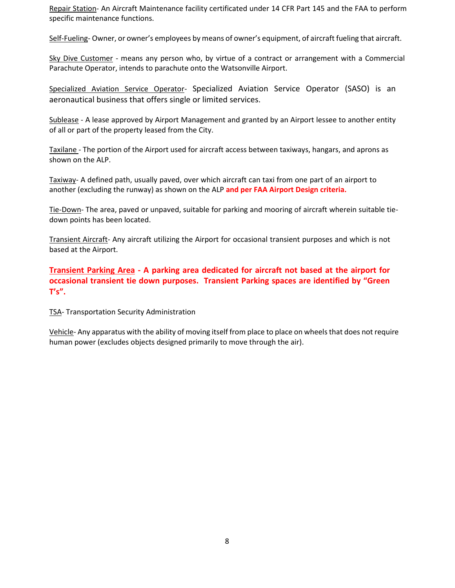Repair Station- An Aircraft Maintenance facility certificated under 14 CFR Part 145 and the FAA to perform specific maintenance functions.

Self-Fueling- Owner, or owner's employees by means of owner's equipment, of aircraft fueling that aircraft.

Sky Dive Customer - means any person who, by virtue of a contract or arrangement with a Commercial Parachute Operator, intends to parachute onto the Watsonville Airport.

Specialized Aviation Service Operator- Specialized Aviation Service Operator (SASO) is an aeronautical business that offers single or limited services.

Sublease - A lease approved by Airport Management and granted by an Airport lessee to another entity of all or part of the property leased from the City.

Taxilane - The portion of the Airport used for aircraft access between taxiways, hangars, and aprons as shown on the ALP.

Taxiway- A defined path, usually paved, over which aircraft can taxi from one part of an airport to another (excluding the runway) as shown on the ALP **and per FAA Airport Design criteria.**

Tie-Down- The area, paved or unpaved, suitable for parking and mooring of aircraft wherein suitable tiedown points has been located.

Transient Aircraft- Any aircraft utilizing the Airport for occasional transient purposes and which is not based at the Airport.

**Transient Parking Area - A parking area dedicated for aircraft not based at the airport for occasional transient tie down purposes. Transient Parking spaces are identified by "Green T's".**

TSA- Transportation Security Administration

Vehicle- Any apparatus with the ability of moving itself from place to place on wheels that does not require human power (excludes objects designed primarily to move through the air).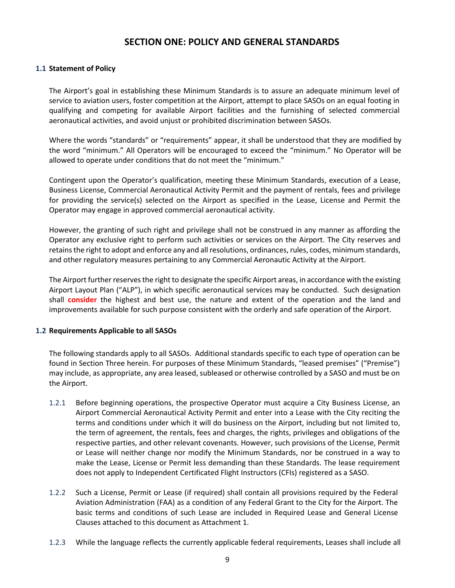# **SECTION ONE: POLICY AND GENERAL STANDARDS**

#### <span id="page-8-1"></span><span id="page-8-0"></span>**1.1 Statement of Policy**

The Airport's goal in establishing these Minimum Standards is to assure an adequate minimum level of service to aviation users, foster competition at the Airport, attempt to place SASOs on an equal footing in qualifying and competing for available Airport facilities and the furnishing of selected commercial aeronautical activities, and avoid unjust or prohibited discrimination between SASOs.

Where the words "standards" or "requirements" appear, it shall be understood that they are modified by the word "minimum." All Operators will be encouraged to exceed the "minimum." No Operator will be allowed to operate under conditions that do not meet the "minimum."

Contingent upon the Operator's qualification, meeting these Minimum Standards, execution of a Lease, Business License, Commercial Aeronautical Activity Permit and the payment of rentals, fees and privilege for providing the service(s) selected on the Airport as specified in the Lease, License and Permit the Operator may engage in approved commercial aeronautical activity.

However, the granting of such right and privilege shall not be construed in any manner as affording the Operator any exclusive right to perform such activities or services on the Airport. The City reserves and retains the right to adopt and enforce any and all resolutions, ordinances, rules, codes, minimum standards, and other regulatory measures pertaining to any Commercial Aeronautic Activity at the Airport.

The Airport further reserves the right to designate the specific Airport areas, in accordance with the existing Airport Layout Plan ("ALP"), in which specific aeronautical services may be conducted. Such designation shall **consider** the highest and best use, the nature and extent of the operation and the land and improvements available for such purpose consistent with the orderly and safe operation of the Airport.

#### <span id="page-8-2"></span>**1.2 Requirements Applicable to all SASOs**

The following standards apply to all SASOs. Additional standards specific to each type of operation can be found in Section Three herein. For purposes of these Minimum Standards, "leased premises" ("Premise") may include, as appropriate, any area leased, subleased or otherwise controlled by a SASO and must be on the Airport.

- 1.2.1 Before beginning operations, the prospective Operator must acquire a City Business License, an Airport Commercial Aeronautical Activity Permit and enter into a Lease with the City reciting the terms and conditions under which it will do business on the Airport, including but not limited to, the term of agreement, the rentals, fees and charges, the rights, privileges and obligations of the respective parties, and other relevant covenants. However, such provisions of the License, Permit or Lease will neither change nor modify the Minimum Standards, nor be construed in a way to make the Lease, License or Permit less demanding than these Standards. The lease requirement does not apply to Independent Certificated Flight Instructors (CFIs) registered as a SASO.
- 1.2.2 Such a License, Permit or Lease (if required) shall contain all provisions required by the Federal Aviation Administration (FAA) as a condition of any Federal Grant to the City for the Airport. The basic terms and conditions of such Lease are included in Required Lease and General License Clauses attached to this document as Attachment 1.
- 1.2.3 While the language reflects the currently applicable federal requirements, Leases shall include all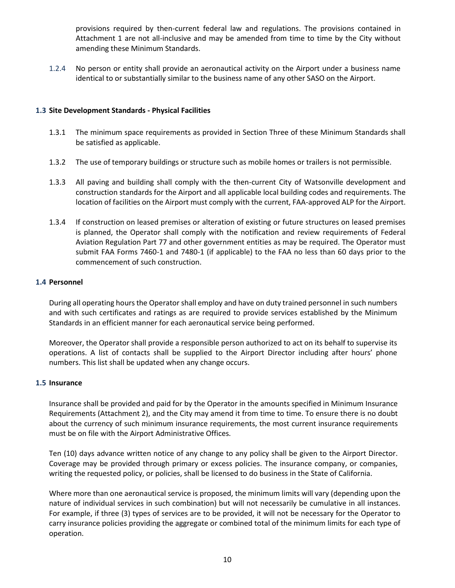provisions required by then-current federal law and regulations. The provisions contained in Attachment 1 are not all-inclusive and may be amended from time to time by the City without amending these Minimum Standards.

1.2.4 No person or entity shall provide an aeronautical activity on the Airport under a business name identical to or substantially similar to the business name of any other SASO on the Airport.

# <span id="page-9-0"></span>**1.3 Site Development Standards - Physical Facilities**

- 1.3.1 The minimum space requirements as provided in Section Three of these Minimum Standards shall be satisfied as applicable.
- 1.3.2 The use of temporary buildings or structure such as mobile homes or trailers is not permissible.
- 1.3.3 All paving and building shall comply with the then-current City of Watsonville development and construction standards for the Airport and all applicable local building codes and requirements. The location of facilities on the Airport must comply with the current, FAA-approved ALP for the Airport.
- 1.3.4 If construction on leased premises or alteration of existing or future structures on leased premises is planned, the Operator shall comply with the notification and review requirements of Federal Aviation Regulation Part 77 and other government entities as may be required. The Operator must submit FAA Forms 7460-1 and 7480-1 (if applicable) to the FAA no less than 60 days prior to the commencement of such construction.

#### <span id="page-9-1"></span>**1.4 Personnel**

During all operating hours the Operator shall employ and have on duty trained personnel in such numbers and with such certificates and ratings as are required to provide services established by the Minimum Standards in an efficient manner for each aeronautical service being performed.

Moreover, the Operator shall provide a responsible person authorized to act on its behalf to supervise its operations. A list of contacts shall be supplied to the Airport Director including after hours' phone numbers. This list shall be updated when any change occurs.

#### <span id="page-9-2"></span>**1.5 Insurance**

Insurance shall be provided and paid for by the Operator in the amounts specified in Minimum Insurance Requirements (Attachment 2), and the City may amend it from time to time. To ensure there is no doubt about the currency of such minimum insurance requirements, the most current insurance requirements must be on file with the Airport Administrative Offices.

Ten (10) days advance written notice of any change to any policy shall be given to the Airport Director. Coverage may be provided through primary or excess policies. The insurance company, or companies, writing the requested policy, or policies, shall be licensed to do business in the State of California.

Where more than one aeronautical service is proposed, the minimum limits will vary (depending upon the nature of individual services in such combination) but will not necessarily be cumulative in all instances. For example, if three (3) types of services are to be provided, it will not be necessary for the Operator to carry insurance policies providing the aggregate or combined total of the minimum limits for each type of operation.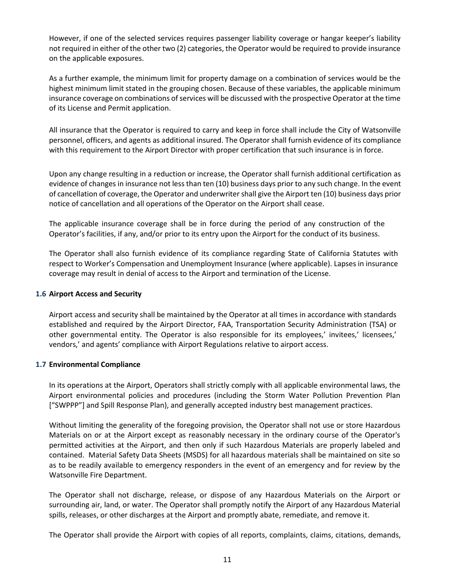However, if one of the selected services requires passenger liability coverage or hangar keeper's liability not required in either of the other two (2) categories, the Operator would be required to provide insurance on the applicable exposures.

As a further example, the minimum limit for property damage on a combination of services would be the highest minimum limit stated in the grouping chosen. Because of these variables, the applicable minimum insurance coverage on combinations of services will be discussed with the prospective Operator at the time of its License and Permit application.

All insurance that the Operator is required to carry and keep in force shall include the City of Watsonville personnel, officers, and agents as additional insured. The Operator shall furnish evidence of its compliance with this requirement to the Airport Director with proper certification that such insurance is in force.

Upon any change resulting in a reduction or increase, the Operator shall furnish additional certification as evidence of changes in insurance not less than ten (10) business days prior to any such change. In the event of cancellation of coverage, the Operator and underwriter shall give the Airport ten (10) business days prior notice of cancellation and all operations of the Operator on the Airport shall cease.

The applicable insurance coverage shall be in force during the period of any construction of the Operator's facilities, if any, and/or prior to its entry upon the Airport for the conduct of its business.

The Operator shall also furnish evidence of its compliance regarding State of California Statutes with respect to Worker's Compensation and Unemployment Insurance (where applicable). Lapses in insurance coverage may result in denial of access to the Airport and termination of the License.

## <span id="page-10-0"></span>**1.6 Airport Access and Security**

Airport access and security shall be maintained by the Operator at all times in accordance with standards established and required by the Airport Director, FAA, Transportation Security Administration (TSA) or other governmental entity. The Operator is also responsible for its employees,' invitees,' licensees,' vendors,' and agents' compliance with Airport Regulations relative to airport access.

# <span id="page-10-1"></span>**1.7 Environmental Compliance**

In its operations at the Airport, Operators shall strictly comply with all applicable environmental laws, the Airport environmental policies and procedures (including the Storm Water Pollution Prevention Plan ["SWPPP"] and Spill Response Plan), and generally accepted industry best management practices.

Without limiting the generality of the foregoing provision, the Operator shall not use or store Hazardous Materials on or at the Airport except as reasonably necessary in the ordinary course of the Operator's permitted activities at the Airport, and then only if such Hazardous Materials are properly labeled and contained. Material Safety Data Sheets (MSDS) for all hazardous materials shall be maintained on site so as to be readily available to emergency responders in the event of an emergency and for review by the Watsonville Fire Department.

The Operator shall not discharge, release, or dispose of any Hazardous Materials on the Airport or surrounding air, land, or water. The Operator shall promptly notify the Airport of any Hazardous Material spills, releases, or other discharges at the Airport and promptly abate, remediate, and remove it.

The Operator shall provide the Airport with copies of all reports, complaints, claims, citations, demands,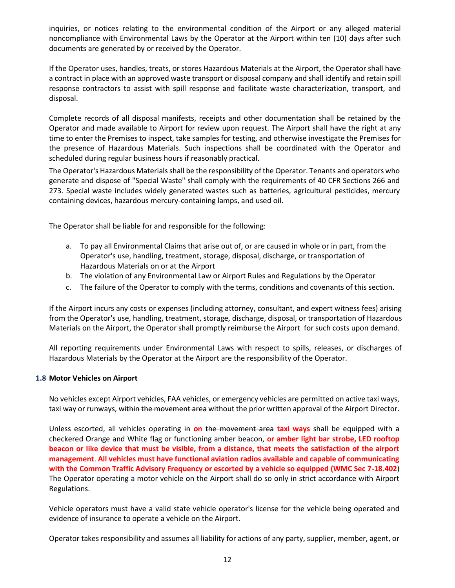inquiries, or notices relating to the environmental condition of the Airport or any alleged material noncompliance with Environmental Laws by the Operator at the Airport within ten (10) days after such documents are generated by or received by the Operator.

If the Operator uses, handles, treats, or stores Hazardous Materials at the Airport, the Operator shall have a contract in place with an approved waste transport or disposal company and shall identify and retain spill response contractors to assist with spill response and facilitate waste characterization, transport, and disposal.

Complete records of all disposal manifests, receipts and other documentation shall be retained by the Operator and made available to Airport for review upon request. The Airport shall have the right at any time to enter the Premises to inspect, take samples for testing, and otherwise investigate the Premises for the presence of Hazardous Materials. Such inspections shall be coordinated with the Operator and scheduled during regular business hours if reasonably practical.

The Operator's Hazardous Materials shall be the responsibility of the Operator. Tenants and operators who generate and dispose of "Special Waste" shall comply with the requirements of 40 CFR Sections 266 and 273. Special waste includes widely generated wastes such as batteries, agricultural pesticides, mercury containing devices, hazardous mercury-containing lamps, and used oil.

The Operator shall be liable for and responsible for the following:

- a. To pay all Environmental Claims that arise out of, or are caused in whole or in part, from the Operator's use, handling, treatment, storage, disposal, discharge, or transportation of Hazardous Materials on or at the Airport
- b. The violation of any Environmental Law or Airport Rules and Regulations by the Operator
- c. The failure of the Operator to comply with the terms, conditions and covenants of this section.

If the Airport incurs any costs or expenses (including attorney, consultant, and expert witness fees) arising from the Operator's use, handling, treatment, storage, discharge, disposal, or transportation of Hazardous Materials on the Airport, the Operator shall promptly reimburse the Airport for such costs upon demand.

All reporting requirements under Environmental Laws with respect to spills, releases, or discharges of Hazardous Materials by the Operator at the Airport are the responsibility of the Operator.

# <span id="page-11-0"></span>**1.8 Motor Vehicles on Airport**

No vehicles except Airport vehicles, FAA vehicles, or emergency vehicles are permitted on active taxi ways, taxi way or runways, within the movement area without the prior written approval of the Airport Director.

Unless escorted, all vehicles operating in **on** the movement area **taxi ways** shall be equipped with a checkered Orange and White flag or functioning amber beacon, **or amber light bar strobe, LED rooftop beacon or like device that must be visible, from a distance, that meets the satisfaction of the airport management**. **All vehicles must have functional aviation radios available and capable of communicating with the Common Traffic Advisory Frequency or escorted by a vehicle so equipped (WMC Sec 7-18.402**) The Operator operating a motor vehicle on the Airport shall do so only in strict accordance with Airport Regulations.

Vehicle operators must have a valid state vehicle operator's license for the vehicle being operated and evidence of insurance to operate a vehicle on the Airport.

Operator takes responsibility and assumes all liability for actions of any party, supplier, member, agent, or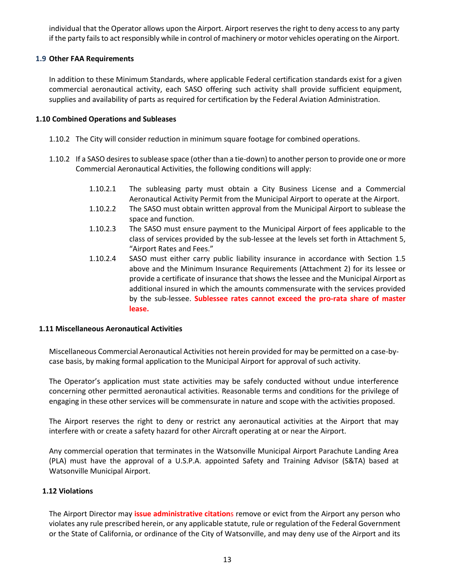individual that the Operator allows upon the Airport. Airport reserves the right to deny access to any party if the party fails to act responsibly while in control of machinery or motor vehicles operating on the Airport.

# <span id="page-12-0"></span>**1.9 Other FAA Requirements**

In addition to these Minimum Standards, where applicable Federal certification standards exist for a given commercial aeronautical activity, each SASO offering such activity shall provide sufficient equipment, supplies and availability of parts as required for certification by the Federal Aviation Administration.

# <span id="page-12-1"></span>**1.10 Combined Operations and Subleases**

- 1.10.2 The City will consider reduction in minimum square footage for combined operations.
- 1.10.2 If a SASO desires to sublease space (other than a tie-down) to another person to provide one or more Commercial Aeronautical Activities, the following conditions will apply:
	- 1.10.2.1 The subleasing party must obtain a City Business License and a Commercial Aeronautical Activity Permit from the Municipal Airport to operate at the Airport.
	- 1.10.2.2 The SASO must obtain written approval from the Municipal Airport to sublease the space and function.
	- 1.10.2.3 The SASO must ensure payment to the Municipal Airport of fees applicable to the class of services provided by the sub-lessee at the levels set forth in Attachment 5, "Airport Rates and Fees."
	- 1.10.2.4 SASO must either carry public liability insurance in accordance with Section 1.5 above and the Minimum Insurance Requirements (Attachment 2) for its lessee or provide a certificate of insurance that shows the lessee and the Municipal Airport as additional insured in which the amounts commensurate with the services provided by the sub-lessee. **Sublessee rates cannot exceed the pro-rata share of master lease.**

# <span id="page-12-2"></span>**1.11 Miscellaneous Aeronautical Activities**

Miscellaneous Commercial Aeronautical Activities not herein provided for may be permitted on a case-bycase basis, by making formal application to the Municipal Airport for approval of such activity.

The Operator's application must state activities may be safely conducted without undue interference concerning other permitted aeronautical activities. Reasonable terms and conditions for the privilege of engaging in these other services will be commensurate in nature and scope with the activities proposed.

The Airport reserves the right to deny or restrict any aeronautical activities at the Airport that may interfere with or create a safety hazard for other Aircraft operating at or near the Airport.

Any commercial operation that terminates in the Watsonville Municipal Airport Parachute Landing Area (PLA) must have the approval of a U.S.P.A. appointed Safety and Training Advisor (S&TA) based at Watsonville Municipal Airport.

# <span id="page-12-3"></span>**1.12 Violations**

The Airport Director may **issue administrative citation**s remove or evict from the Airport any person who violates any rule prescribed herein, or any applicable statute, rule or regulation of the Federal Government or the State of California, or ordinance of the City of Watsonville, and may deny use of the Airport and its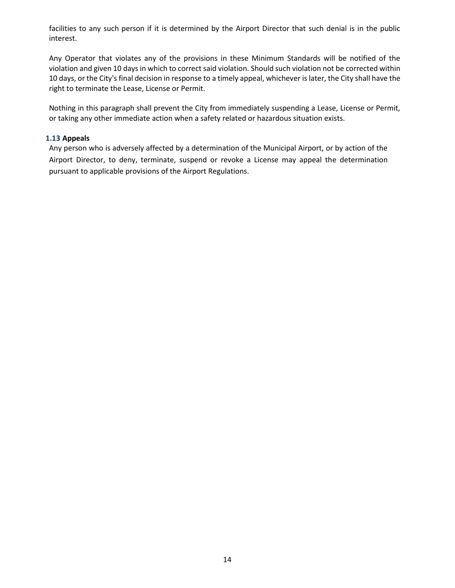facilities to any such person if it is determined by the Airport Director that such denial is in the public interest.

Any Operator that violates any of the provisions in these Minimum Standards will be notified of the violation and given 10 days in which to correct said violation. Should such violation not be corrected within 10 days, or the City's final decision in response to a timely appeal, whichever is later, the City shall have the right to terminate the Lease, License or Permit.

Nothing in this paragraph shall prevent the City from immediately suspending a Lease, License or Permit, or taking any other immediate action when a safety related or hazardous situation exists.

#### <span id="page-13-0"></span>**1.13 Appeals**

Any person who is adversely affected by a determination of the Municipal Airport, or by action of the Airport Director, to deny, terminate, suspend or revoke a License may appeal the determination pursuant to applicable provisions of the Airport Regulations.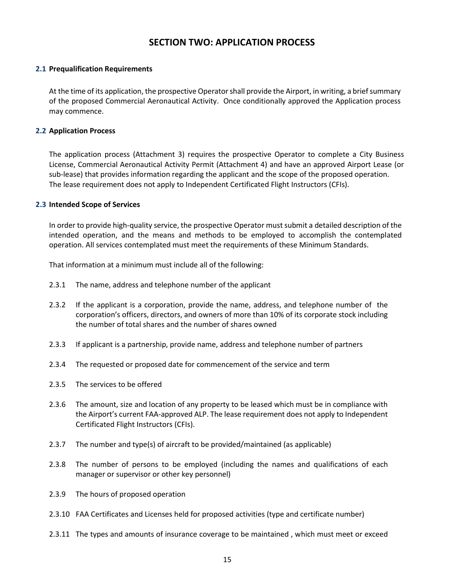# **SECTION TWO: APPLICATION PROCESS**

#### <span id="page-14-1"></span><span id="page-14-0"></span>**2.1 Prequalification Requirements**

At the time of its application, the prospective Operator shall provide the Airport, in writing, a brief summary of the proposed Commercial Aeronautical Activity. Once conditionally approved the Application process may commence.

#### <span id="page-14-2"></span>**2.2 Application Process**

The application process (Attachment 3) requires the prospective Operator to complete a City Business License, Commercial Aeronautical Activity Permit (Attachment 4) and have an approved Airport Lease (or sub-lease) that provides information regarding the applicant and the scope of the proposed operation. The lease requirement does not apply to Independent Certificated Flight Instructors (CFIs).

#### <span id="page-14-3"></span>**2.3 Intended Scope of Services**

In order to provide high-quality service, the prospective Operator must submit a detailed description of the intended operation, and the means and methods to be employed to accomplish the contemplated operation. All services contemplated must meet the requirements of these Minimum Standards.

That information at a minimum must include all of the following:

- 2.3.1 The name, address and telephone number of the applicant
- 2.3.2 If the applicant is a corporation, provide the name, address, and telephone number of the corporation's officers, directors, and owners of more than 10% of its corporate stock including the number of total shares and the number of shares owned
- 2.3.3 If applicant is a partnership, provide name, address and telephone number of partners
- 2.3.4 The requested or proposed date for commencement of the service and term
- 2.3.5 The services to be offered
- 2.3.6 The amount, size and location of any property to be leased which must be in compliance with the Airport's current FAA-approved ALP. The lease requirement does not apply to Independent Certificated Flight Instructors (CFIs).
- 2.3.7 The number and type(s) of aircraft to be provided/maintained (as applicable)
- 2.3.8 The number of persons to be employed (including the names and qualifications of each manager or supervisor or other key personnel)
- 2.3.9 The hours of proposed operation
- 2.3.10 FAA Certificates and Licenses held for proposed activities (type and certificate number)
- 2.3.11 The types and amounts of insurance coverage to be maintained , which must meet or exceed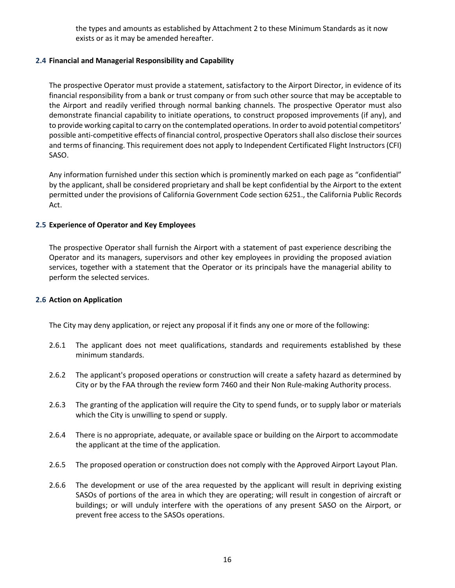the types and amounts as established by Attachment 2 to these Minimum Standards as it now exists or as it may be amended hereafter.

# <span id="page-15-0"></span>**2.4 Financial and Managerial Responsibility and Capability**

The prospective Operator must provide a statement, satisfactory to the Airport Director, in evidence of its financial responsibility from a bank or trust company or from such other source that may be acceptable to the Airport and readily verified through normal banking channels. The prospective Operator must also demonstrate financial capability to initiate operations, to construct proposed improvements (if any), and to provide working capital to carry on the contemplated operations. In order to avoid potential competitors' possible anti-competitive effects of financial control, prospective Operators shall also disclose their sources and terms of financing. This requirement does not apply to Independent Certificated Flight Instructors (CFI) SASO.

Any information furnished under this section which is prominently marked on each page as "confidential" by the applicant, shall be considered proprietary and shall be kept confidential by the Airport to the extent permitted under the provisions of California Government Code section 6251., the California Public Records Act.

# <span id="page-15-1"></span>**2.5 Experience of Operator and Key Employees**

The prospective Operator shall furnish the Airport with a statement of past experience describing the Operator and its managers, supervisors and other key employees in providing the proposed aviation services, together with a statement that the Operator or its principals have the managerial ability to perform the selected services.

# <span id="page-15-2"></span>**2.6 Action on Application**

The City may deny application, or reject any proposal if it finds any one or more of the following:

- 2.6.1 The applicant does not meet qualifications, standards and requirements established by these minimum standards.
- 2.6.2 The applicant's proposed operations or construction will create a safety hazard as determined by City or by the FAA through the review form 7460 and their Non Rule-making Authority process.
- 2.6.3 The granting of the application will require the City to spend funds, or to supply labor or materials which the City is unwilling to spend or supply.
- 2.6.4 There is no appropriate, adequate, or available space or building on the Airport to accommodate the applicant at the time of the application.
- 2.6.5 The proposed operation or construction does not comply with the Approved Airport Layout Plan.
- 2.6.6 The development or use of the area requested by the applicant will result in depriving existing SASOs of portions of the area in which they are operating; will result in congestion of aircraft or buildings; or will unduly interfere with the operations of any present SASO on the Airport, or prevent free access to the SASOs operations.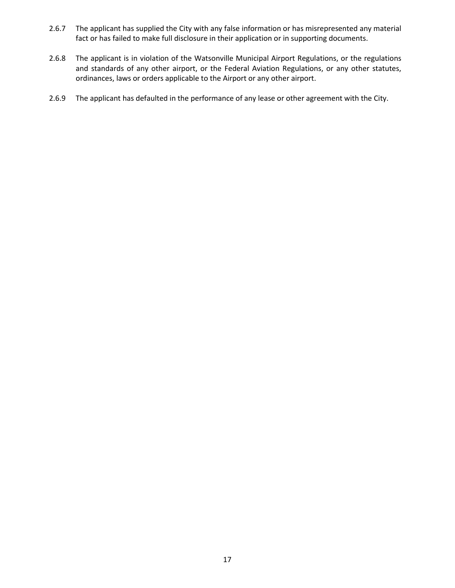- 2.6.7 The applicant has supplied the City with any false information or has misrepresented any material fact or has failed to make full disclosure in their application or in supporting documents.
- 2.6.8 The applicant is in violation of the Watsonville Municipal Airport Regulations, or the regulations and standards of any other airport, or the Federal Aviation Regulations, or any other statutes, ordinances, laws or orders applicable to the Airport or any other airport.
- 2.6.9 The applicant has defaulted in the performance of any lease or other agreement with the City.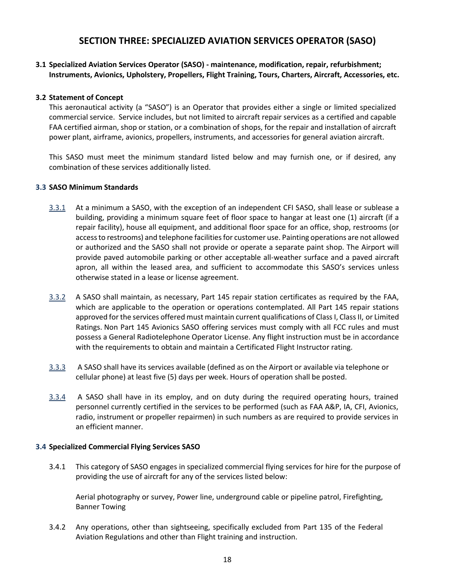# **SECTION THREE: SPECIALIZED AVIATION SERVICES OPERATOR (SASO)**

# <span id="page-17-1"></span><span id="page-17-0"></span>**3.1 Specialized Aviation Services Operator (SASO) - maintenance, modification, repair, refurbishment; Instruments, Avionics, Upholstery, Propellers, Flight Training, Tours, Charters, Aircraft, Accessories, etc.**

# <span id="page-17-2"></span>**3.2 Statement of Concept**

This aeronautical activity (a "SASO") is an Operator that provides either a single or limited specialized commercial service. Service includes, but not limited to aircraft repair services as a certified and capable FAA certified airman, shop or station, or a combination of shops, for the repair and installation of aircraft power plant, airframe, avionics, propellers, instruments, and accessories for general aviation aircraft.

This SASO must meet the minimum standard listed below and may furnish one, or if desired, any combination of these services additionally listed.

#### <span id="page-17-3"></span>**3.3 SASO Minimum Standards**

- 3.3.1 At a minimum a SASO, with the exception of an independent CFI SASO, shall lease or sublease a building, providing a minimum square feet of floor space to hangar at least one (1) aircraft (if a repair facility), house all equipment, and additional floor space for an office, shop, restrooms (or access to restrooms) and telephone facilities for customer use. Painting operations are not allowed or authorized and the SASO shall not provide or operate a separate paint shop. The Airport will provide paved automobile parking or other acceptable all-weather surface and a paved aircraft apron, all within the leased area, and sufficient to accommodate this SASO's services unless otherwise stated in a lease or license agreement.
- 3.3.2 A SASO shall maintain, as necessary, Part 145 repair station certificates as required by the FAA, which are applicable to the operation or operations contemplated. All Part 145 repair stations approved for the services offered must maintain current qualifications of Class I, Class II, or Limited Ratings. Non Part 145 Avionics SASO offering services must comply with all FCC rules and must possess a General Radiotelephone Operator License. Any flight instruction must be in accordance with the requirements to obtain and maintain a Certificated Flight Instructor rating.
- 3.3.3 A SASO shall have its services available (defined as on the Airport or available via telephone or cellular phone) at least five (5) days per week. Hours of operation shall be posted.
- 3.3.4 A SASO shall have in its employ, and on duty during the required operating hours, trained personnel currently certified in the services to be performed (such as FAA A&P, IA, CFI, Avionics, radio, instrument or propeller repairmen) in such numbers as are required to provide services in an efficient manner.

#### <span id="page-17-4"></span>**3.4 Specialized Commercial Flying Services SASO**

3.4.1 This category of SASO engages in specialized commercial flying services for hire for the purpose of providing the use of aircraft for any of the services listed below:

Aerial photography or survey, Power line, underground cable or pipeline patrol, Firefighting, Banner Towing

3.4.2 Any operations, other than sightseeing, specifically excluded from Part 135 of the Federal Aviation Regulations and other than Flight training and instruction.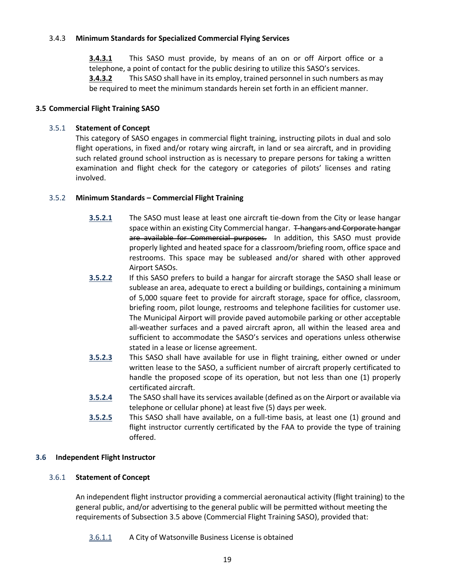# 3.4.3 **Minimum Standards for Specialized Commercial Flying Services**

**3.4.3.1** This SASO must provide, by means of an on or off Airport office or a telephone, a point of contact for the public desiring to utilize this SASO's services. **3.4.3.2** This SASO shall have in its employ, trained personnel in such numbers as may be required to meet the minimum standards herein set forth in an efficient manner.

# <span id="page-18-0"></span>**3.5 Commercial Flight Training SASO**

# 3.5.1 **Statement of Concept**

This category of SASO engages in commercial flight training, instructing pilots in dual and solo flight operations, in fixed and/or rotary wing aircraft, in land or sea aircraft, and in providing such related ground school instruction as is necessary to prepare persons for taking a written examination and flight check for the category or categories of pilots' licenses and rating involved.

# 3.5.2 **Minimum Standards – Commercial Flight Training**

- **3.5.2.1** The SASO must lease at least one aircraft tie-down from the City or lease hangar space within an existing City Commercial hangar. T-hangars and Corporate hangar are available for Commercial purposes. In addition, this SASO must provide properly lighted and heated space for a classroom/briefing room, office space and restrooms. This space may be subleased and/or shared with other approved Airport SASOs.
- **3.5.2.2** If this SASO prefers to build a hangar for aircraft storage the SASO shall lease or sublease an area, adequate to erect a building or buildings, containing a minimum of 5,000 square feet to provide for aircraft storage, space for office, classroom, briefing room, pilot lounge, restrooms and telephone facilities for customer use. The Municipal Airport will provide paved automobile parking or other acceptable all-weather surfaces and a paved aircraft apron, all within the leased area and sufficient to accommodate the SASO's services and operations unless otherwise stated in a lease or license agreement.
- **3.5.2.3** This SASO shall have available for use in flight training, either owned or under written lease to the SASO, a sufficient number of aircraft properly certificated to handle the proposed scope of its operation, but not less than one (1) properly certificated aircraft.
- **3.5.2.4** The SASO shall have its services available (defined as on the Airport or available via telephone or cellular phone) at least five (5) days per week.
- **3.5.2.5** This SASO shall have available, on a full-time basis, at least one (1) ground and flight instructor currently certificated by the FAA to provide the type of training offered.

# **3.6 Independent Flight Instructor**

# 3.6.1 **Statement of Concept**

An independent flight instructor providing a commercial aeronautical activity (flight training) to the general public, and/or advertising to the general public will be permitted without meeting the requirements of Subsection 3.5 above (Commercial Flight Training SASO), provided that:

3.6.1.1 A City of Watsonville Business License is obtained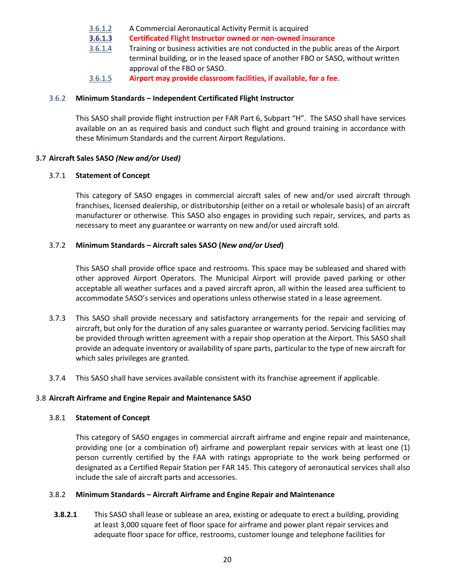- 3.6.1.2 A Commercial Aeronautical Activity Permit is acquired
- **3.6.1.3 Certificated Flight Instructor owned or non-owned insurance**
- 3.6.1.4 Training or business activities are not conducted in the public areas of the Airport terminal building, or in the leased space of another FBO or SASO, without written approval of the FBO or SASO.
- 3.6.1.5 **Airport may provide classroom facilities, if available, for a fee**.

## 3.6.2 **Minimum Standards – Independent Certificated Flight Instructor**

This SASO shall provide flight instruction per FAR Part 6, Subpart "H". The SASO shall have services available on an as required basis and conduct such flight and ground training in accordance with these Minimum Standards and the current Airport Regulations.

# <span id="page-19-0"></span>**3.7 Aircraft Sales SASO** *(New and/or Used)*

#### 3.7.1 **Statement of Concept**

This category of SASO engages in commercial aircraft sales of new and/or used aircraft through franchises, licensed dealership, or distributorship (either on a retail or wholesale basis) of an aircraft manufacturer or otherwise. This SASO also engages in providing such repair, services, and parts as necessary to meet any guarantee or warranty on new and/or used aircraft sold.

#### 3.7.2 **Minimum Standards – Aircraft sales SASO (***New and/or Used***)**

This SASO shall provide office space and restrooms. This space may be subleased and shared with other approved Airport Operators. The Municipal Airport will provide paved parking or other acceptable all weather surfaces and a paved aircraft apron, all within the leased area sufficient to accommodate SASO's services and operations unless otherwise stated in a lease agreement.

- 3.7.3 This SASO shall provide necessary and satisfactory arrangements for the repair and servicing of aircraft, but only for the duration of any sales guarantee or warranty period. Servicing facilities may be provided through written agreement with a repair shop operation at the Airport. This SASO shall provide an adequate inventory or availability of spare parts, particular to the type of new aircraft for which sales privileges are granted.
- 3.7.4 This SASO shall have services available consistent with its franchise agreement if applicable.

# <span id="page-19-1"></span>3.8 **Aircraft Airframe and Engine Repair and Maintenance SASO**

#### 3.8.1 **Statement of Concept**

This category of SASO engages in commercial aircraft airframe and engine repair and maintenance, providing one (or a combination of) airframe and powerplant repair services with at least one (1) person currently certified by the FAA with ratings appropriate to the work being performed or designated as a Certified Repair Station per FAR 145. This category of aeronautical services shall also include the sale of aircraft parts and accessories.

#### 3.8.2 **Minimum Standards – Aircraft Airframe and Engine Repair and Maintenance**

**3.8.2.1** This SASO shall lease or sublease an area, existing or adequate to erect a building, providing at least 3,000 square feet of floor space for airframe and power plant repair services and adequate floor space for office, restrooms, customer lounge and telephone facilities for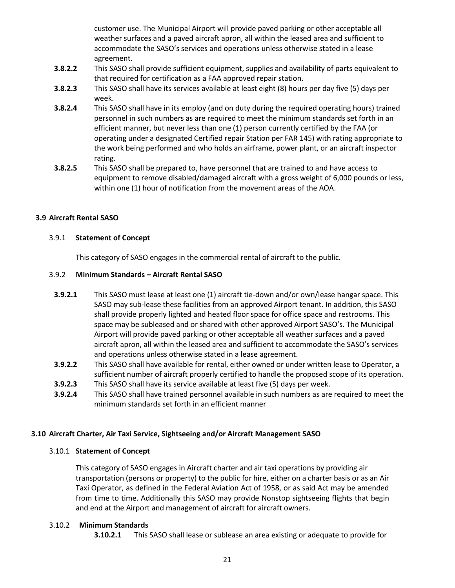customer use. The Municipal Airport will provide paved parking or other acceptable all weather surfaces and a paved aircraft apron, all within the leased area and sufficient to accommodate the SASO's services and operations unless otherwise stated in a lease agreement.

- **3.8.2.2** This SASO shall provide sufficient equipment, supplies and availability of parts equivalent to that required for certification as a FAA approved repair station.
- **3.8.2.3** This SASO shall have its services available at least eight (8) hours per day five (5) days per week.
- **3.8.2.4** This SASO shall have in its employ (and on duty during the required operating hours) trained personnel in such numbers as are required to meet the minimum standards set forth in an efficient manner, but never less than one (1) person currently certified by the FAA (or operating under a designated Certified repair Station per FAR 145) with rating appropriate to the work being performed and who holds an airframe, power plant, or an aircraft inspector rating.
- **3.8.2.5** This SASO shall be prepared to, have personnel that are trained to and have access to equipment to remove disabled/damaged aircraft with a gross weight of 6,000 pounds or less, within one (1) hour of notification from the movement areas of the AOA.

# <span id="page-20-0"></span>**3.9 Aircraft Rental SASO**

# 3.9.1 **Statement of Concept**

This category of SASO engages in the commercial rental of aircraft to the public.

#### 3.9.2 **Minimum Standards – Aircraft Rental SASO**

- **3.9.2.1** This SASO must lease at least one (1) aircraft tie-down and/or own/lease hangar space. This SASO may sub-lease these facilities from an approved Airport tenant. In addition, this SASO shall provide properly lighted and heated floor space for office space and restrooms. This space may be subleased and or shared with other approved Airport SASO's. The Municipal Airport will provide paved parking or other acceptable all weather surfaces and a paved aircraft apron, all within the leased area and sufficient to accommodate the SASO's services and operations unless otherwise stated in a lease agreement.
- **3.9.2.2** This SASO shall have available for rental, either owned or under written lease to Operator, a sufficient number of aircraft properly certified to handle the proposed scope of its operation.
- **3.9.2.3** This SASO shall have its service available at least five (5) days per week.
- **3.9.2.4** This SASO shall have trained personnel available in such numbers as are required to meet the minimum standards set forth in an efficient manner

# **3.10 Aircraft Charter, Air Taxi Service, Sightseeing and/or Aircraft Management SASO**

#### 3.10.1 **Statement of Concept**

This category of SASO engages in Aircraft charter and air taxi operations by providing air transportation (persons or property) to the public for hire, either on a charter basis or as an Air Taxi Operator, as defined in the Federal Aviation Act of 1958, or as said Act may be amended from time to time. Additionally this SASO may provide Nonstop sightseeing flights that begin and end at the Airport and management of aircraft for aircraft owners.

# 3.10.2 **Minimum Standards**

**3.10.2.1** This SASO shall lease or sublease an area existing or adequate to provide for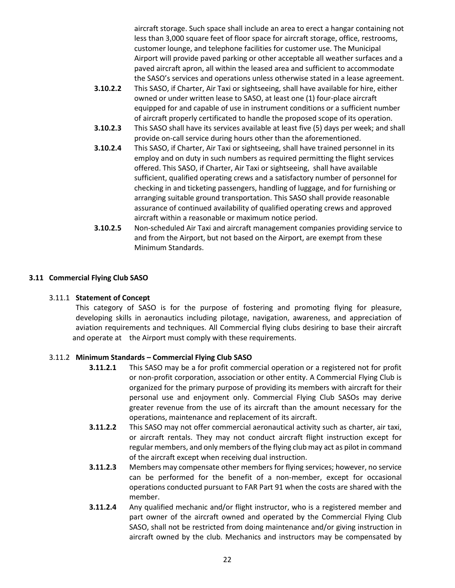aircraft storage. Such space shall include an area to erect a hangar containing not less than 3,000 square feet of floor space for aircraft storage, office, restrooms, customer lounge, and telephone facilities for customer use. The Municipal Airport will provide paved parking or other acceptable all weather surfaces and a paved aircraft apron, all within the leased area and sufficient to accommodate the SASO's services and operations unless otherwise stated in a lease agreement.

- **3.10.2.2** This SASO, if Charter, Air Taxi or sightseeing, shall have available for hire, either owned or under written lease to SASO, at least one (1) four-place aircraft equipped for and capable of use in instrument conditions or a sufficient number of aircraft properly certificated to handle the proposed scope of its operation.
- **3.10.2.3** This SASO shall have its services available at least five (5) days per week; and shall provide on-call service during hours other than the aforementioned.
- **3.10.2.4** This SASO, if Charter, Air Taxi or sightseeing, shall have trained personnel in its employ and on duty in such numbers as required permitting the flight services offered. This SASO, if Charter, Air Taxi or sightseeing, shall have available sufficient, qualified operating crews and a satisfactory number of personnel for checking in and ticketing passengers, handling of luggage, and for furnishing or arranging suitable ground transportation. This SASO shall provide reasonable assurance of continued availability of qualified operating crews and approved aircraft within a reasonable or maximum notice period.
- **3.10.2.5** Non-scheduled Air Taxi and aircraft management companies providing service to and from the Airport, but not based on the Airport, are exempt from these Minimum Standards.

# <span id="page-21-0"></span>**3.11 Commercial Flying Club SASO**

# 3.11.1 **Statement of Concept**

This category of SASO is for the purpose of fostering and promoting flying for pleasure, developing skills in aeronautics including pilotage, navigation, awareness, and appreciation of aviation requirements and techniques. All Commercial flying clubs desiring to base their aircraft and operate at the Airport must comply with these requirements.

# 3.11.2 **Minimum Standards – Commercial Flying Club SASO**

- **3.11.2.1** This SASO may be a for profit commercial operation or a registered not for profit or non-profit corporation, association or other entity. A Commercial Flying Club is organized for the primary purpose of providing its members with aircraft for their personal use and enjoyment only. Commercial Flying Club SASOs may derive greater revenue from the use of its aircraft than the amount necessary for the operations, maintenance and replacement of its aircraft.
- **3.11.2.2** This SASO may not offer commercial aeronautical activity such as charter, air taxi, or aircraft rentals. They may not conduct aircraft flight instruction except for regular members, and only members of the flying club may act as pilot in command of the aircraft except when receiving dual instruction.
- **3.11.2.3** Members may compensate other members for flying services; however, no service can be performed for the benefit of a non-member, except for occasional operations conducted pursuant to FAR Part 91 when the costs are shared with the member.
- **3.11.2.4** Any qualified mechanic and/or flight instructor, who is a registered member and part owner of the aircraft owned and operated by the Commercial Flying Club SASO, shall not be restricted from doing maintenance and/or giving instruction in aircraft owned by the club. Mechanics and instructors may be compensated by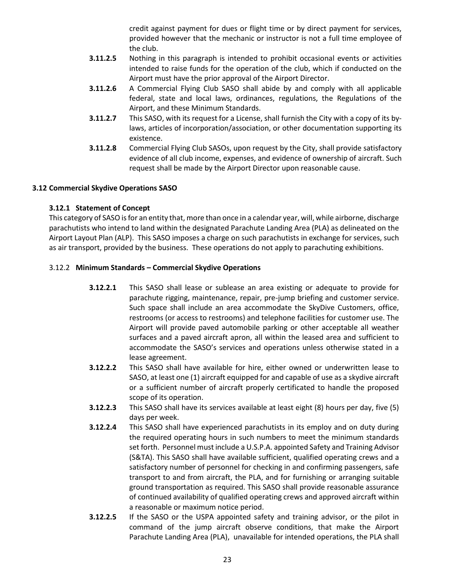credit against payment for dues or flight time or by direct payment for services, provided however that the mechanic or instructor is not a full time employee of the club.

- **3.11.2.5** Nothing in this paragraph is intended to prohibit occasional events or activities intended to raise funds for the operation of the club, which if conducted on the Airport must have the prior approval of the Airport Director.
- **3.11.2.6** A Commercial Flying Club SASO shall abide by and comply with all applicable federal, state and local laws, ordinances, regulations, the Regulations of the Airport, and these Minimum Standards.
- **3.11.2.7** This SASO, with its request for a License, shall furnish the City with a copy of its bylaws, articles of incorporation/association, or other documentation supporting its existence.
- **3.11.2.8** Commercial Flying Club SASOs, upon request by the City, shall provide satisfactory evidence of all club income, expenses, and evidence of ownership of aircraft. Such request shall be made by the Airport Director upon reasonable cause.

# <span id="page-22-0"></span>**3.12 Commercial Skydive Operations SASO**

# **3.12.1 Statement of Concept**

This category of SASO is for an entity that, more than once in a calendar year, will, while airborne, discharge parachutists who intend to land within the designated Parachute Landing Area (PLA) as delineated on the Airport Layout Plan (ALP). This SASO imposes a charge on such parachutists in exchange for services, such as air transport, provided by the business. These operations do not apply to parachuting exhibitions.

# 3.12.2 **Minimum Standards – Commercial Skydive Operations**

- **3.12.2.1** This SASO shall lease or sublease an area existing or adequate to provide for parachute rigging, maintenance, repair, pre-jump briefing and customer service. Such space shall include an area accommodate the SkyDive Customers, office, restrooms (or access to restrooms) and telephone facilities for customer use. The Airport will provide paved automobile parking or other acceptable all weather surfaces and a paved aircraft apron, all within the leased area and sufficient to accommodate the SASO's services and operations unless otherwise stated in a lease agreement.
- **3.12.2.2** This SASO shall have available for hire, either owned or underwritten lease to SASO, at least one (1) aircraft equipped for and capable of use as a skydive aircraft or a sufficient number of aircraft properly certificated to handle the proposed scope of its operation.
- **3.12.2.3** This SASO shall have its services available at least eight (8) hours per day, five (5) days per week.
- **3.12.2.4** This SASO shall have experienced parachutists in its employ and on duty during the required operating hours in such numbers to meet the minimum standards set forth. Personnel must include a U.S.P.A. appointed Safety and Training Advisor (S&TA). This SASO shall have available sufficient, qualified operating crews and a satisfactory number of personnel for checking in and confirming passengers, safe transport to and from aircraft, the PLA, and for furnishing or arranging suitable ground transportation as required. This SASO shall provide reasonable assurance of continued availability of qualified operating crews and approved aircraft within a reasonable or maximum notice period.
- **3.12.2.5** If the SASO or the USPA appointed safety and training advisor, or the pilot in command of the jump aircraft observe conditions, that make the Airport Parachute Landing Area (PLA), unavailable for intended operations, the PLA shall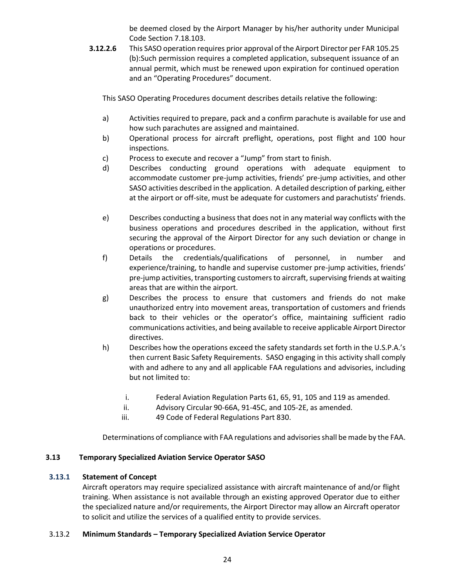be deemed closed by the Airport Manager by his/her authority under Municipal Code Section 7.18.103.

**3.12.2.6** This SASO operation requires prior approval of the Airport Director per FAR 105.25 (b):Such permission requires a completed application, subsequent issuance of an annual permit, which must be renewed upon expiration for continued operation and an "Operating Procedures" document.

This SASO Operating Procedures document describes details relative the following:

- a) Activities required to prepare, pack and a confirm parachute is available for use and how such parachutes are assigned and maintained.
- b) Operational process for aircraft preflight, operations, post flight and 100 hour inspections.
- c) Process to execute and recover a "Jump" from start to finish.
- d) Describes conducting ground operations with adequate equipment to accommodate customer pre-jump activities, friends' pre-jump activities, and other SASO activities described in the application. A detailed description of parking, either at the airport or off-site, must be adequate for customers and parachutists' friends.
- e) Describes conducting a business that does not in any material way conflicts with the business operations and procedures described in the application, without first securing the approval of the Airport Director for any such deviation or change in operations or procedures.
- f) Details the credentials/qualifications of personnel, in number and experience/training, to handle and supervise customer pre-jump activities, friends' pre-jump activities, transporting customers to aircraft, supervising friends at waiting areas that are within the airport.
- g) Describes the process to ensure that customers and friends do not make unauthorized entry into movement areas, transportation of customers and friends back to their vehicles or the operator's office, maintaining sufficient radio communications activities, and being available to receive applicable Airport Director directives.
- h) Describes how the operations exceed the safety standards set forth in the U.S.P.A.'s then current Basic Safety Requirements. SASO engaging in this activity shall comply with and adhere to any and all applicable FAA regulations and advisories, including but not limited to:
	- i. Federal Aviation Regulation Parts 61, 65, 91, 105 and 119 as amended.
	- ii. Advisory Circular 90-66A, 91-45C, and 105-2E, as amended.
	- iii. 49 Code of Federal Regulations Part 830.

Determinations of compliance with FAA regulations and advisories shall be made by the FAA.

# <span id="page-23-0"></span>**3.13 Temporary Specialized Aviation Service Operator SASO**

# **3.13.1 Statement of Concept**

Aircraft operators may require specialized assistance with aircraft maintenance of and/or flight training. When assistance is not available through an existing approved Operator due to either the specialized nature and/or requirements, the Airport Director may allow an Aircraft operator to solicit and utilize the services of a qualified entity to provide services.

# 3.13.2 **Minimum Standards – Temporary Specialized Aviation Service Operator**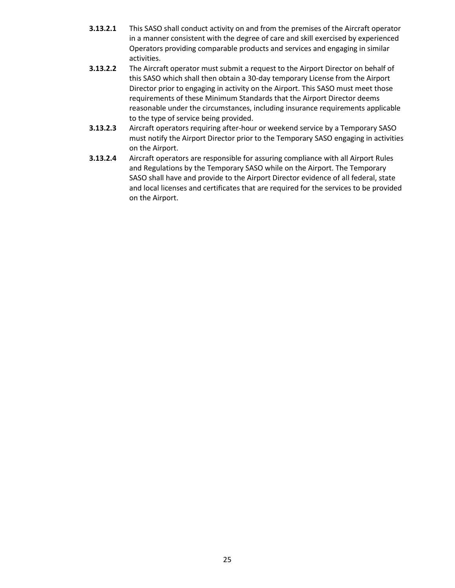- **3.13.2.1** This SASO shall conduct activity on and from the premises of the Aircraft operator in a manner consistent with the degree of care and skill exercised by experienced Operators providing comparable products and services and engaging in similar activities.
- **3.13.2.2** The Aircraft operator must submit a request to the Airport Director on behalf of this SASO which shall then obtain a 30-day temporary License from the Airport Director prior to engaging in activity on the Airport. This SASO must meet those requirements of these Minimum Standards that the Airport Director deems reasonable under the circumstances, including insurance requirements applicable to the type of service being provided.
- **3.13.2.3** Aircraft operators requiring after-hour or weekend service by a Temporary SASO must notify the Airport Director prior to the Temporary SASO engaging in activities on the Airport.
- **3.13.2.4** Aircraft operators are responsible for assuring compliance with all Airport Rules and Regulations by the Temporary SASO while on the Airport. The Temporary SASO shall have and provide to the Airport Director evidence of all federal, state and local licenses and certificates that are required for the services to be provided on the Airport.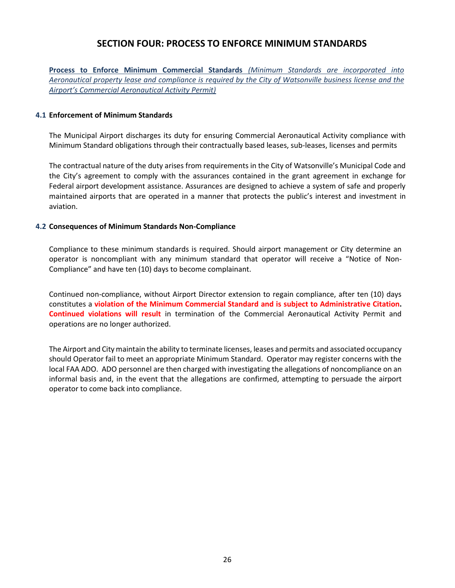# **SECTION FOUR: PROCESS TO ENFORCE MINIMUM STANDARDS**

<span id="page-25-0"></span>**Process to Enforce Minimum Commercial Standards** *(Minimum Standards are incorporated into Aeronautical property lease and compliance is required by the City of Watsonville business license and the Airport's Commercial Aeronautical Activity Permit)*

#### <span id="page-25-1"></span>**4.1 Enforcement of Minimum Standards**

The Municipal Airport discharges its duty for ensuring Commercial Aeronautical Activity compliance with Minimum Standard obligations through their contractually based leases, sub-leases, licenses and permits

The contractual nature of the duty arises from requirements in the City of Watsonville's Municipal Code and the City's agreement to comply with the assurances contained in the grant agreement in exchange for Federal airport development assistance. Assurances are designed to achieve a system of safe and properly maintained airports that are operated in a manner that protects the public's interest and investment in aviation.

#### <span id="page-25-2"></span>**4.2 Consequences of Minimum Standards Non-Compliance**

Compliance to these minimum standards is required. Should airport management or City determine an operator is noncompliant with any minimum standard that operator will receive a "Notice of Non-Compliance" and have ten (10) days to become complainant.

Continued non-compliance, without Airport Director extension to regain compliance, after ten (10) days constitutes a **violation of the Minimum Commercial Standard and is subject to Administrative Citation. Continued violations will result** in termination of the Commercial Aeronautical Activity Permit and operations are no longer authorized.

The Airport and City maintain the ability to terminate licenses, leases and permits and associated occupancy should Operator fail to meet an appropriate Minimum Standard. Operator may register concerns with the local FAA ADO. ADO personnel are then charged with investigating the allegations of noncompliance on an informal basis and, in the event that the allegations are confirmed, attempting to persuade the airport operator to come back into compliance.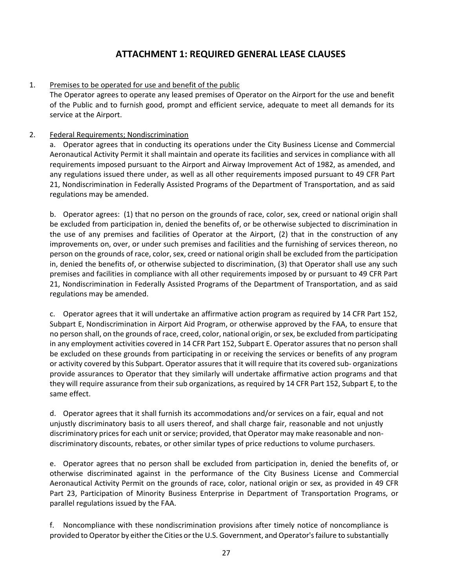# **ATTACHMENT 1: REQUIRED GENERAL LEASE CLAUSES**

# <span id="page-26-0"></span>1. Premises to be operated for use and benefit of the public

The Operator agrees to operate any leased premises of Operator on the Airport for the use and benefit of the Public and to furnish good, prompt and efficient service, adequate to meet all demands for its service at the Airport.

# 2. Federal Requirements; Nondiscrimination

a. Operator agrees that in conducting its operations under the City Business License and Commercial Aeronautical Activity Permit it shall maintain and operate its facilities and services in compliance with all requirements imposed pursuant to the Airport and Airway Improvement Act of 1982, as amended, and any regulations issued there under, as well as all other requirements imposed pursuant to 49 CFR Part 21, Nondiscrimination in Federally Assisted Programs of the Department of Transportation, and as said regulations may be amended.

b. Operator agrees: (1) that no person on the grounds of race, color, sex, creed or national origin shall be excluded from participation in, denied the benefits of, or be otherwise subjected to discrimination in the use of any premises and facilities of Operator at the Airport, (2) that in the construction of any improvements on, over, or under such premises and facilities and the furnishing of services thereon, no person on the grounds of race, color, sex, creed or national origin shall be excluded from the participation in, denied the benefits of, or otherwise subjected to discrimination, (3) that Operator shall use any such premises and facilities in compliance with all other requirements imposed by or pursuant to 49 CFR Part 21, Nondiscrimination in Federally Assisted Programs of the Department of Transportation, and as said regulations may be amended.

c. Operator agrees that it will undertake an affirmative action program as required by 14 CFR Part 152, Subpart E, Nondiscrimination in Airport Aid Program, or otherwise approved by the FAA, to ensure that no person shall, on the grounds of race, creed, color, national origin, or sex, be excluded from participating in any employment activities covered in 14 CFR Part 152, Subpart E. Operator assures that no person shall be excluded on these grounds from participating in or receiving the services or benefits of any program or activity covered by this Subpart. Operator assures that it will require that its covered sub- organizations provide assurances to Operator that they similarly will undertake affirmative action programs and that they will require assurance from their sub organizations, as required by 14 CFR Part 152, Subpart E, to the same effect.

d. Operator agrees that it shall furnish its accommodations and/or services on a fair, equal and not unjustly discriminatory basis to all users thereof, and shall charge fair, reasonable and not unjustly discriminatory prices for each unit or service; provided, that Operator may make reasonable and nondiscriminatory discounts, rebates, or other similar types of price reductions to volume purchasers.

e. Operator agrees that no person shall be excluded from participation in, denied the benefits of, or otherwise discriminated against in the performance of the City Business License and Commercial Aeronautical Activity Permit on the grounds of race, color, national origin or sex, as provided in 49 CFR Part 23, Participation of Minority Business Enterprise in Department of Transportation Programs, or parallel regulations issued by the FAA.

f. Noncompliance with these nondiscrimination provisions after timely notice of noncompliance is provided to Operator by either the Cities or the U.S. Government, and Operator's failure to substantially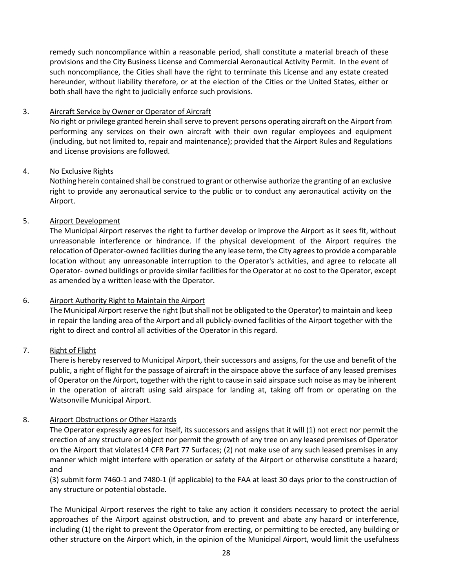remedy such noncompliance within a reasonable period, shall constitute a material breach of these provisions and the City Business License and Commercial Aeronautical Activity Permit. In the event of such noncompliance, the Cities shall have the right to terminate this License and any estate created hereunder, without liability therefore, or at the election of the Cities or the United States, either or both shall have the right to judicially enforce such provisions.

# 3. Aircraft Service by Owner or Operator of Aircraft

No right or privilege granted herein shall serve to prevent persons operating aircraft on the Airport from performing any services on their own aircraft with their own regular employees and equipment (including, but not limited to, repair and maintenance); provided that the Airport Rules and Regulations and License provisions are followed.

# 4. No Exclusive Rights

Nothing herein contained shall be construed to grant or otherwise authorize the granting of an exclusive right to provide any aeronautical service to the public or to conduct any aeronautical activity on the Airport.

# 5. Airport Development

The Municipal Airport reserves the right to further develop or improve the Airport as it sees fit, without unreasonable interference or hindrance. If the physical development of the Airport requires the relocation of Operator-owned facilities during the any lease term, the City agrees to provide a comparable location without any unreasonable interruption to the Operator's activities, and agree to relocate all Operator- owned buildings or provide similar facilities for the Operator at no cost to the Operator, except as amended by a written lease with the Operator.

# 6. Airport Authority Right to Maintain the Airport

The Municipal Airport reserve the right (but shall not be obligated to the Operator) to maintain and keep in repair the landing area of the Airport and all publicly-owned facilities of the Airport together with the right to direct and control all activities of the Operator in this regard.

# 7. Right of Flight

There is hereby reserved to Municipal Airport, their successors and assigns, for the use and benefit of the public, a right of flight for the passage of aircraft in the airspace above the surface of any leased premises of Operator on the Airport, together with the right to cause in said airspace such noise as may be inherent in the operation of aircraft using said airspace for landing at, taking off from or operating on the Watsonville Municipal Airport.

# 8. Airport Obstructions or Other Hazards

The Operator expressly agrees for itself, its successors and assigns that it will (1) not erect nor permit the erection of any structure or object nor permit the growth of any tree on any leased premises of Operator on the Airport that violates14 CFR Part 77 Surfaces; (2) not make use of any such leased premises in any manner which might interfere with operation or safety of the Airport or otherwise constitute a hazard; and

(3) submit form 7460-1 and 7480-1 (if applicable) to the FAA at least 30 days prior to the construction of any structure or potential obstacle.

The Municipal Airport reserves the right to take any action it considers necessary to protect the aerial approaches of the Airport against obstruction, and to prevent and abate any hazard or interference, including (1) the right to prevent the Operator from erecting, or permitting to be erected, any building or other structure on the Airport which, in the opinion of the Municipal Airport, would limit the usefulness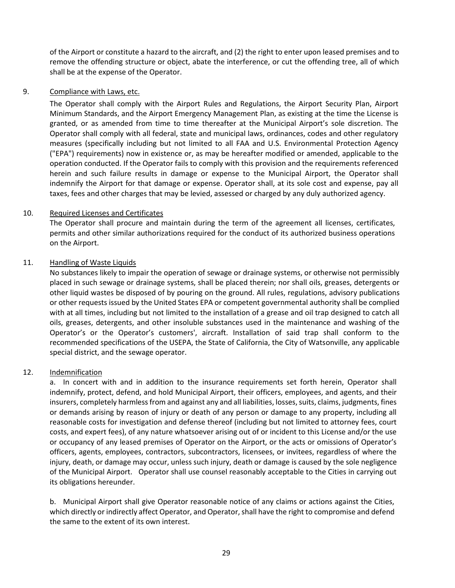of the Airport or constitute a hazard to the aircraft, and (2) the right to enter upon leased premises and to remove the offending structure or object, abate the interference, or cut the offending tree, all of which shall be at the expense of the Operator.

# 9. Compliance with Laws, etc.

The Operator shall comply with the Airport Rules and Regulations, the Airport Security Plan, Airport Minimum Standards, and the Airport Emergency Management Plan, as existing at the time the License is granted, or as amended from time to time thereafter at the Municipal Airport's sole discretion. The Operator shall comply with all federal, state and municipal laws, ordinances, codes and other regulatory measures (specifically including but not limited to all FAA and U.S. Environmental Protection Agency ("EPA") requirements) now in existence or, as may be hereafter modified or amended, applicable to the operation conducted. If the Operator fails to comply with this provision and the requirements referenced herein and such failure results in damage or expense to the Municipal Airport, the Operator shall indemnify the Airport for that damage or expense. Operator shall, at its sole cost and expense, pay all taxes, fees and other charges that may be levied, assessed or charged by any duly authorized agency.

# 10. Required Licenses and Certificates

The Operator shall procure and maintain during the term of the agreement all licenses, certificates, permits and other similar authorizations required for the conduct of its authorized business operations on the Airport.

# 11. Handling of Waste Liquids

No substances likely to impair the operation of sewage or drainage systems, or otherwise not permissibly placed in such sewage or drainage systems, shall be placed therein; nor shall oils, greases, detergents or other liquid wastes be disposed of by pouring on the ground. All rules, regulations, advisory publications or other requests issued by the United States EPA or competent governmental authority shall be complied with at all times, including but not limited to the installation of a grease and oil trap designed to catch all oils, greases, detergents, and other insoluble substances used in the maintenance and washing of the Operator's or the Operator's customers', aircraft. Installation of said trap shall conform to the recommended specifications of the USEPA, the State of California, the City of Watsonville, any applicable special district, and the sewage operator.

# 12. Indemnification

a. In concert with and in addition to the insurance requirements set forth herein, Operator shall indemnify, protect, defend, and hold Municipal Airport, their officers, employees, and agents, and their insurers, completely harmless from and against any and all liabilities, losses, suits, claims, judgments, fines or demands arising by reason of injury or death of any person or damage to any property, including all reasonable costs for investigation and defense thereof (including but not limited to attorney fees, court costs, and expert fees), of any nature whatsoever arising out of or incident to this License and/or the use or occupancy of any leased premises of Operator on the Airport, or the acts or omissions of Operator's officers, agents, employees, contractors, subcontractors, licensees, or invitees, regardless of where the injury, death, or damage may occur, unless such injury, death or damage is caused by the sole negligence of the Municipal Airport. Operator shall use counsel reasonably acceptable to the Cities in carrying out its obligations hereunder.

b. Municipal Airport shall give Operator reasonable notice of any claims or actions against the Cities, which directly or indirectly affect Operator, and Operator, shall have the right to compromise and defend the same to the extent of its own interest.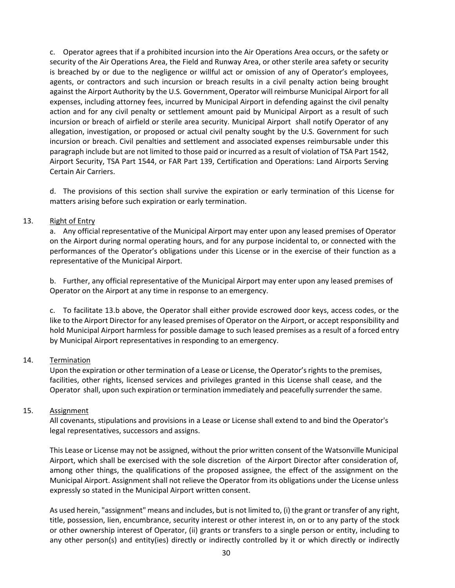c. Operator agrees that if a prohibited incursion into the Air Operations Area occurs, or the safety or security of the Air Operations Area, the Field and Runway Area, or other sterile area safety or security is breached by or due to the negligence or willful act or omission of any of Operator's employees, agents, or contractors and such incursion or breach results in a civil penalty action being brought against the Airport Authority by the U.S. Government, Operator will reimburse Municipal Airport for all expenses, including attorney fees, incurred by Municipal Airport in defending against the civil penalty action and for any civil penalty or settlement amount paid by Municipal Airport as a result of such incursion or breach of airfield or sterile area security. Municipal Airport shall notify Operator of any allegation, investigation, or proposed or actual civil penalty sought by the U.S. Government for such incursion or breach. Civil penalties and settlement and associated expenses reimbursable under this paragraph include but are not limited to those paid or incurred as a result of violation of TSA Part 1542, Airport Security, TSA Part 1544, or FAR Part 139, Certification and Operations: Land Airports Serving Certain Air Carriers.

d. The provisions of this section shall survive the expiration or early termination of this License for matters arising before such expiration or early termination.

# 13. Right of Entry

a. Any official representative of the Municipal Airport may enter upon any leased premises of Operator on the Airport during normal operating hours, and for any purpose incidental to, or connected with the performances of the Operator's obligations under this License or in the exercise of their function as a representative of the Municipal Airport.

b. Further, any official representative of the Municipal Airport may enter upon any leased premises of Operator on the Airport at any time in response to an emergency.

c. To facilitate 13.b above, the Operator shall either provide escrowed door keys, access codes, or the like to the Airport Director for any leased premises of Operator on the Airport, or accept responsibility and hold Municipal Airport harmless for possible damage to such leased premises as a result of a forced entry by Municipal Airport representatives in responding to an emergency.

# 14. Termination

Upon the expiration or other termination of a Lease or License, the Operator's rights to the premises, facilities, other rights, licensed services and privileges granted in this License shall cease, and the Operator shall, upon such expiration or termination immediately and peacefully surrender the same.

#### 15. Assignment

All covenants, stipulations and provisions in a Lease or License shall extend to and bind the Operator's legal representatives, successors and assigns.

This Lease or License may not be assigned, without the prior written consent of the Watsonville Municipal Airport, which shall be exercised with the sole discretion of the Airport Director after consideration of, among other things, the qualifications of the proposed assignee, the effect of the assignment on the Municipal Airport. Assignment shall not relieve the Operator from its obligations under the License unless expressly so stated in the Municipal Airport written consent.

As used herein, "assignment" means and includes, but is not limited to, (i) the grant or transfer of any right, title, possession, lien, encumbrance, security interest or other interest in, on or to any party of the stock or other ownership interest of Operator, (ii) grants or transfers to a single person or entity, including to any other person(s) and entity(ies) directly or indirectly controlled by it or which directly or indirectly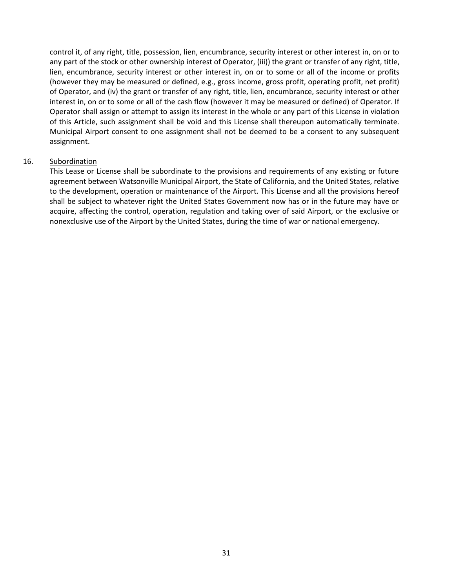control it, of any right, title, possession, lien, encumbrance, security interest or other interest in, on or to any part of the stock or other ownership interest of Operator, (iii)) the grant or transfer of any right, title, lien, encumbrance, security interest or other interest in, on or to some or all of the income or profits (however they may be measured or defined, e.g., gross income, gross profit, operating profit, net profit) of Operator, and (iv) the grant or transfer of any right, title, lien, encumbrance, security interest or other interest in, on or to some or all of the cash flow (however it may be measured or defined) of Operator. If Operator shall assign or attempt to assign its interest in the whole or any part of this License in violation of this Article, such assignment shall be void and this License shall thereupon automatically terminate. Municipal Airport consent to one assignment shall not be deemed to be a consent to any subsequent assignment.

# 16. Subordination

This Lease or License shall be subordinate to the provisions and requirements of any existing or future agreement between Watsonville Municipal Airport, the State of California, and the United States, relative to the development, operation or maintenance of the Airport. This License and all the provisions hereof shall be subject to whatever right the United States Government now has or in the future may have or acquire, affecting the control, operation, regulation and taking over of said Airport, or the exclusive or nonexclusive use of the Airport by the United States, during the time of war or national emergency.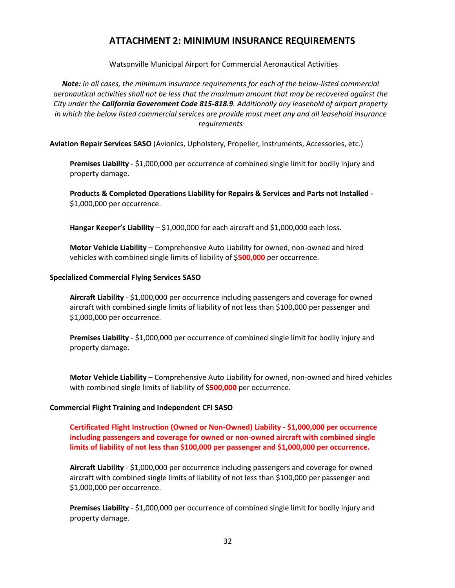# **ATTACHMENT 2: MINIMUM INSURANCE REQUIREMENTS**

Watsonville Municipal Airport for Commercial Aeronautical Activities

<span id="page-31-0"></span>*Note: In all cases, the minimum insurance requirements for each of the below-listed commercial aeronautical activities shall not be less that the maximum amount that may be recovered against the City under the California Government Code 815-818.9. Additionally any leasehold of airport property in which the below listed commercial services are provide must meet any and all leasehold insurance requirements*

**Aviation Repair Services SASO** (Avionics, Upholstery, Propeller, Instruments, Accessories, etc.)

**Premises Liability** - \$1,000,000 per occurrence of combined single limit for bodily injury and property damage.

**Products & Completed Operations Liability for Repairs & Services and Parts not Installed -** \$1,000,000 per occurrence.

**Hangar Keeper's Liability** – \$1,000,000 for each aircraft and \$1,000,000 each loss.

**Motor Vehicle Liability** – Comprehensive Auto Liability for owned, non-owned and hired vehicles with combined single limits of liability of \$**500,000** per occurrence.

#### **Specialized Commercial Flying Services SASO**

**Aircraft Liability** - \$1,000,000 per occurrence including passengers and coverage for owned aircraft with combined single limits of liability of not less than \$100,000 per passenger and \$1,000,000 per occurrence.

**Premises Liability** - \$1,000,000 per occurrence of combined single limit for bodily injury and property damage.

**Motor Vehicle Liability** – Comprehensive Auto Liability for owned, non-owned and hired vehicles with combined single limits of liability of \$**500,000** per occurrence.

#### **Commercial Flight Training and Independent CFI SASO**

**Certificated Flight Instruction (Owned or Non-Owned) Liability - \$1,000,000 per occurrence including passengers and coverage for owned or non-owned aircraft with combined single limits of liability of not less than \$100,000 per passenger and \$1,000,000 per occurrence.**

**Aircraft Liability** - \$1,000,000 per occurrence including passengers and coverage for owned aircraft with combined single limits of liability of not less than \$100,000 per passenger and \$1,000,000 per occurrence.

**Premises Liability** - \$1,000,000 per occurrence of combined single limit for bodily injury and property damage.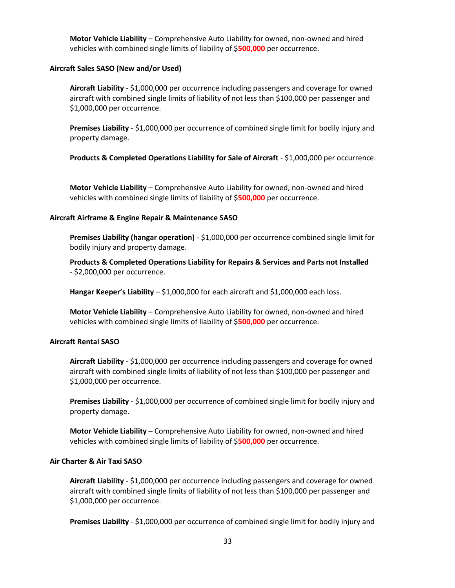**Motor Vehicle Liability** – Comprehensive Auto Liability for owned, non-owned and hired vehicles with combined single limits of liability of \$**500,000** per occurrence.

#### **Aircraft Sales SASO (New and/or Used)**

**Aircraft Liability** - \$1,000,000 per occurrence including passengers and coverage for owned aircraft with combined single limits of liability of not less than \$100,000 per passenger and \$1,000,000 per occurrence.

**Premises Liability** - \$1,000,000 per occurrence of combined single limit for bodily injury and property damage.

**Products & Completed Operations Liability for Sale of Aircraft - \$1,000,000 per occurrence.** 

**Motor Vehicle Liability** – Comprehensive Auto Liability for owned, non-owned and hired vehicles with combined single limits of liability of \$**500,000** per occurrence.

#### **Aircraft Airframe & Engine Repair & Maintenance SASO**

**Premises Liability (hangar operation)** - \$1,000,000 per occurrence combined single limit for bodily injury and property damage.

**Products & Completed Operations Liability for Repairs & Services and Parts not Installed** - \$2,000,000 per occurrence.

**Hangar Keeper's Liability** – \$1,000,000 for each aircraft and \$1,000,000 each loss.

**Motor Vehicle Liability** – Comprehensive Auto Liability for owned, non-owned and hired vehicles with combined single limits of liability of \$**500,000** per occurrence.

#### **Aircraft Rental SASO**

**Aircraft Liability** - \$1,000,000 per occurrence including passengers and coverage for owned aircraft with combined single limits of liability of not less than \$100,000 per passenger and \$1,000,000 per occurrence.

**Premises Liability** - \$1,000,000 per occurrence of combined single limit for bodily injury and property damage.

**Motor Vehicle Liability** – Comprehensive Auto Liability for owned, non-owned and hired vehicles with combined single limits of liability of \$**500,000** per occurrence.

#### **Air Charter & Air Taxi SASO**

**Aircraft Liability** - \$1,000,000 per occurrence including passengers and coverage for owned aircraft with combined single limits of liability of not less than \$100,000 per passenger and \$1,000,000 per occurrence.

**Premises Liability** - \$1,000,000 per occurrence of combined single limit for bodily injury and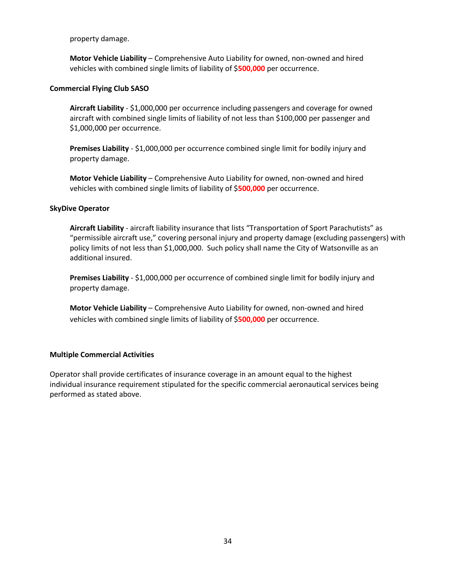property damage.

**Motor Vehicle Liability** – Comprehensive Auto Liability for owned, non-owned and hired vehicles with combined single limits of liability of \$**500,000** per occurrence.

## **Commercial Flying Club SASO**

**Aircraft Liability** - \$1,000,000 per occurrence including passengers and coverage for owned aircraft with combined single limits of liability of not less than \$100,000 per passenger and \$1,000,000 per occurrence.

**Premises Liability** - \$1,000,000 per occurrence combined single limit for bodily injury and property damage.

**Motor Vehicle Liability** – Comprehensive Auto Liability for owned, non-owned and hired vehicles with combined single limits of liability of \$**500,000** per occurrence.

#### **SkyDive Operator**

**Aircraft Liability** - aircraft liability insurance that lists "Transportation of Sport Parachutists" as "permissible aircraft use," covering personal injury and property damage (excluding passengers) with policy limits of not less than \$1,000,000. Such policy shall name the City of Watsonville as an additional insured.

**Premises Liability** - \$1,000,000 per occurrence of combined single limit for bodily injury and property damage.

**Motor Vehicle Liability** – Comprehensive Auto Liability for owned, non-owned and hired vehicles with combined single limits of liability of \$**500,000** per occurrence.

# **Multiple Commercial Activities**

Operator shall provide certificates of insurance coverage in an amount equal to the highest individual insurance requirement stipulated for the specific commercial aeronautical services being performed as stated above.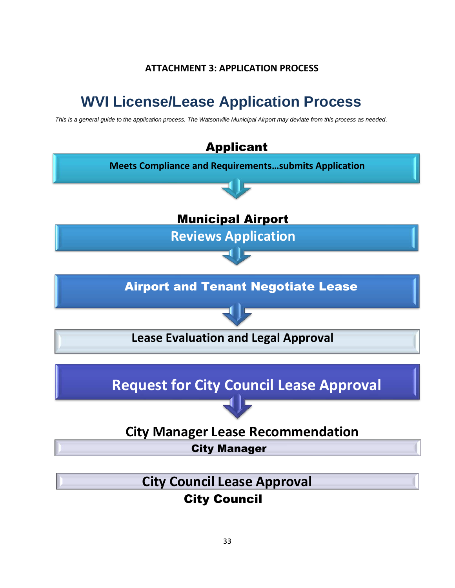# **ATTACHMENT 3: APPLICATION PROCESS**

# <span id="page-34-0"></span>**WVI License/Lease Application Process**

*This is a general guide to the application process. The Watsonville Municipal Airport may deviate from this process as needed.*

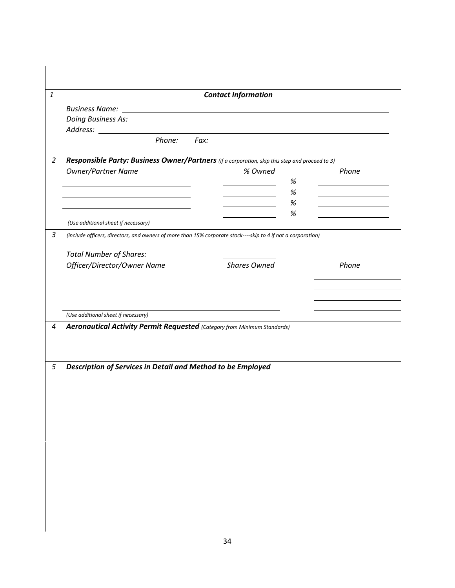| $\boldsymbol{1}$ |                                                                                                              | <b>Contact Information</b>        |   |       |
|------------------|--------------------------------------------------------------------------------------------------------------|-----------------------------------|---|-------|
|                  |                                                                                                              |                                   |   |       |
|                  |                                                                                                              |                                   |   |       |
|                  |                                                                                                              |                                   |   |       |
|                  | $Phone:$ Fax:                                                                                                |                                   |   |       |
|                  |                                                                                                              |                                   |   |       |
| $\overline{2}$   | Responsible Party: Business Owner/Partners (if a corporation, skip this step and proceed to 3)               |                                   |   |       |
|                  | Owner/Partner Name                                                                                           | % Owned                           |   | Phone |
|                  | <u> 1989 - Johann Barbara, martxa alemaniar arg</u>                                                          |                                   | % |       |
|                  |                                                                                                              | the control of the control of the | % |       |
|                  |                                                                                                              |                                   | % |       |
|                  | (Use additional sheet if necessary)                                                                          |                                   | % |       |
|                  |                                                                                                              |                                   |   |       |
| 3                | (include officers, directors, and owners of more than 15% corporate stock----skip to 4 if not a corporation) |                                   |   |       |
|                  | <b>Total Number of Shares:</b>                                                                               |                                   |   |       |
|                  | Officer/Director/Owner Name                                                                                  | <b>Shares Owned</b>               |   | Phone |
|                  |                                                                                                              |                                   |   |       |
|                  |                                                                                                              |                                   |   |       |
|                  |                                                                                                              |                                   |   |       |
|                  |                                                                                                              |                                   |   |       |
|                  | (Use additional sheet if necessary)                                                                          |                                   |   |       |
| $\overline{4}$   | Aeronautical Activity Permit Requested (Category from Minimum Standards)                                     |                                   |   |       |
|                  |                                                                                                              |                                   |   |       |
|                  |                                                                                                              |                                   |   |       |
|                  |                                                                                                              |                                   |   |       |
| 5                | Description of Services in Detail and Method to be Employed                                                  |                                   |   |       |
|                  |                                                                                                              |                                   |   |       |
|                  |                                                                                                              |                                   |   |       |
|                  |                                                                                                              |                                   |   |       |
|                  |                                                                                                              |                                   |   |       |
|                  |                                                                                                              |                                   |   |       |
|                  |                                                                                                              |                                   |   |       |
|                  |                                                                                                              |                                   |   |       |
|                  |                                                                                                              |                                   |   |       |
|                  |                                                                                                              |                                   |   |       |
|                  |                                                                                                              |                                   |   |       |
|                  |                                                                                                              |                                   |   |       |
|                  |                                                                                                              |                                   |   |       |
|                  |                                                                                                              |                                   |   |       |
|                  |                                                                                                              |                                   |   |       |
|                  |                                                                                                              |                                   |   |       |
|                  |                                                                                                              |                                   |   |       |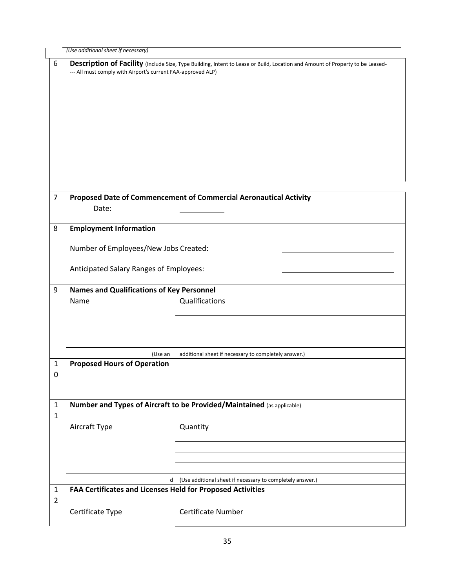|                   | (Use additional sheet if necessary)                                    |                                                                                                                               |  |  |  |  |  |  |
|-------------------|------------------------------------------------------------------------|-------------------------------------------------------------------------------------------------------------------------------|--|--|--|--|--|--|
| 6                 | --- All must comply with Airport's current FAA-approved ALP)           | Description of Facility (Include Size, Type Building, Intent to Lease or Build, Location and Amount of Property to be Leased- |  |  |  |  |  |  |
| $\overline{7}$    | Date:                                                                  | Proposed Date of Commencement of Commercial Aeronautical Activity                                                             |  |  |  |  |  |  |
| 8                 | <b>Employment Information</b>                                          |                                                                                                                               |  |  |  |  |  |  |
|                   | Number of Employees/New Jobs Created:                                  |                                                                                                                               |  |  |  |  |  |  |
|                   | Anticipated Salary Ranges of Employees:                                |                                                                                                                               |  |  |  |  |  |  |
| 9                 | <b>Names and Qualifications of Key Personnel</b><br>Name               | Qualifications                                                                                                                |  |  |  |  |  |  |
|                   | (Use an                                                                | additional sheet if necessary to completely answer.)                                                                          |  |  |  |  |  |  |
| $\mathbf{1}$<br>0 | <b>Proposed Hours of Operation</b>                                     |                                                                                                                               |  |  |  |  |  |  |
| $\mathbf{1}$      | Number and Types of Aircraft to be Provided/Maintained (as applicable) |                                                                                                                               |  |  |  |  |  |  |
| 1                 | Aircraft Type                                                          | Quantity                                                                                                                      |  |  |  |  |  |  |
|                   |                                                                        |                                                                                                                               |  |  |  |  |  |  |
|                   |                                                                        | d (Use additional sheet if necessary to completely answer.)                                                                   |  |  |  |  |  |  |
| $\mathbf{1}$      | FAA Certificates and Licenses Held for Proposed Activities             |                                                                                                                               |  |  |  |  |  |  |
| $\overline{2}$    | Certificate Type                                                       | <b>Certificate Number</b>                                                                                                     |  |  |  |  |  |  |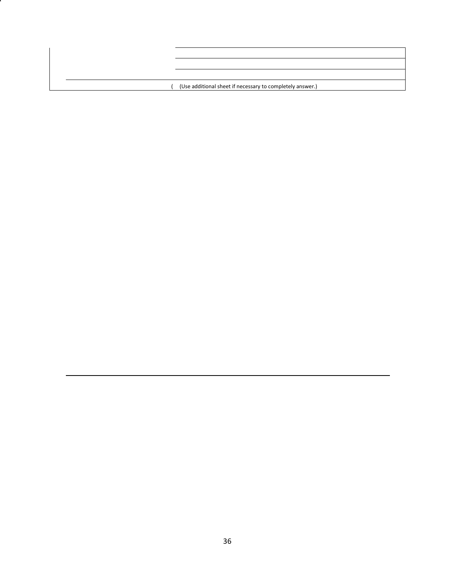( (Use additional sheet if necessary to completely answer.)